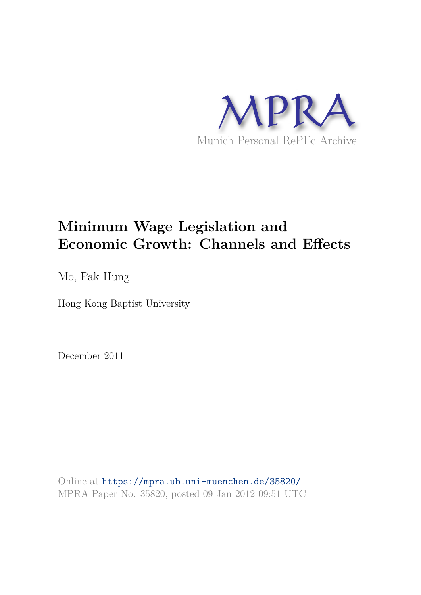

# **Minimum Wage Legislation and Economic Growth: Channels and Effects**

Mo, Pak Hung

Hong Kong Baptist University

December 2011

Online at https://mpra.ub.uni-muenchen.de/35820/ MPRA Paper No. 35820, posted 09 Jan 2012 09:51 UTC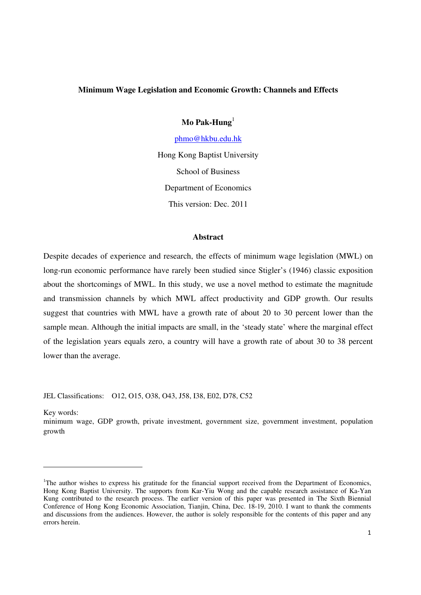#### **Minimum Wage Legislation and Economic Growth: Channels and Effects**

**Mo Pak-Hung**<sup>1</sup>

phmo@hkbu.edu.hk

Hong Kong Baptist University School of Business Department of Economics This version: Dec. 2011

#### **Abstract**

Despite decades of experience and research, the effects of minimum wage legislation (MWL) on long-run economic performance have rarely been studied since Stigler's (1946) classic exposition about the shortcomings of MWL. In this study, we use a novel method to estimate the magnitude and transmission channels by which MWL affect productivity and GDP growth. Our results suggest that countries with MWL have a growth rate of about 20 to 30 percent lower than the sample mean. Although the initial impacts are small, in the 'steady state' where the marginal effect of the legislation years equals zero, a country will have a growth rate of about 30 to 38 percent lower than the average.

JEL Classifications: O12, O15, O38, O43, J58, I38, E02, D78, C52

Key words:

minimum wage, GDP growth, private investment, government size, government investment, population growth

<sup>&</sup>lt;sup>1</sup>The author wishes to express his gratitude for the financial support received from the Department of Economics, Hong Kong Baptist University. The supports from Kar-Yiu Wong and the capable research assistance of Ka-Yan Kung contributed to the research process. The earlier version of this paper was presented in The Sixth Biennial Conference of Hong Kong Economic Association, Tianjin, China, Dec. 18-19, 2010. I want to thank the comments and discussions from the audiences. However, the author is solely responsible for the contents of this paper and any errors herein.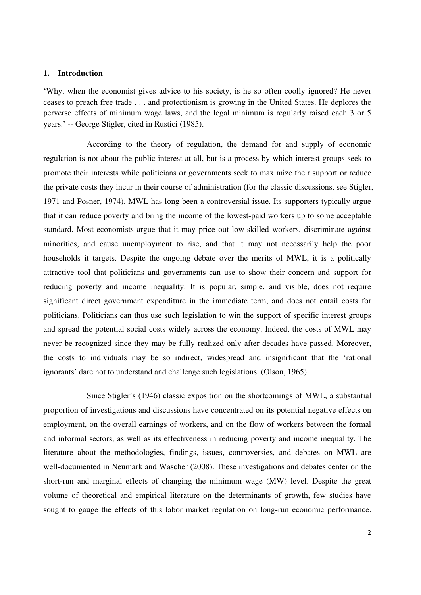#### **1. Introduction**

'Why, when the economist gives advice to his society, is he so often coolly ignored? He never ceases to preach free trade . . . and protectionism is growing in the United States. He deplores the perverse effects of minimum wage laws, and the legal minimum is regularly raised each 3 or 5 years.' -- George Stigler, cited in Rustici (1985).

According to the theory of regulation, the demand for and supply of economic regulation is not about the public interest at all, but is a process by which interest groups seek to promote their interests while politicians or governments seek to maximize their support or reduce the private costs they incur in their course of administration (for the classic discussions, see Stigler, 1971 and Posner, 1974). MWL has long been a controversial issue. Its supporters typically argue that it can reduce poverty and bring the income of the lowest-paid workers up to some acceptable standard. Most economists argue that it may price out low-skilled workers, discriminate against minorities, and cause unemployment to rise, and that it may not necessarily help the poor households it targets. Despite the ongoing debate over the merits of MWL, it is a politically attractive tool that politicians and governments can use to show their concern and support for reducing poverty and income inequality. It is popular, simple, and visible, does not require significant direct government expenditure in the immediate term, and does not entail costs for politicians. Politicians can thus use such legislation to win the support of specific interest groups and spread the potential social costs widely across the economy. Indeed, the costs of MWL may never be recognized since they may be fully realized only after decades have passed. Moreover, the costs to individuals may be so indirect, widespread and insignificant that the 'rational ignorants' dare not to understand and challenge such legislations. (Olson, 1965)

Since Stigler's (1946) classic exposition on the shortcomings of MWL, a substantial proportion of investigations and discussions have concentrated on its potential negative effects on employment, on the overall earnings of workers, and on the flow of workers between the formal and informal sectors, as well as its effectiveness in reducing poverty and income inequality. The literature about the methodologies, findings, issues, controversies, and debates on MWL are well-documented in Neumark and Wascher (2008). These investigations and debates center on the short-run and marginal effects of changing the minimum wage (MW) level. Despite the great volume of theoretical and empirical literature on the determinants of growth, few studies have sought to gauge the effects of this labor market regulation on long-run economic performance.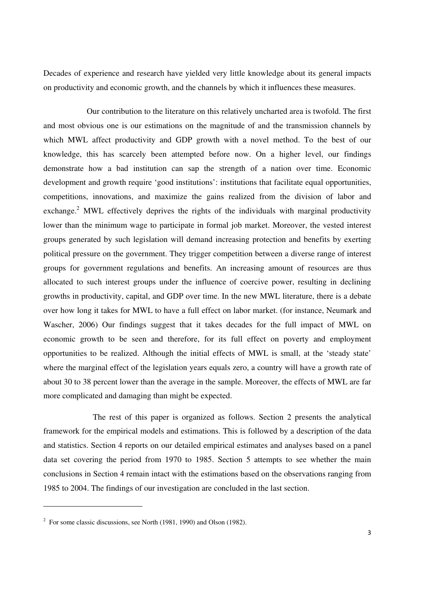Decades of experience and research have yielded very little knowledge about its general impacts on productivity and economic growth, and the channels by which it influences these measures.

Our contribution to the literature on this relatively uncharted area is twofold. The first and most obvious one is our estimations on the magnitude of and the transmission channels by which MWL affect productivity and GDP growth with a novel method. To the best of our knowledge, this has scarcely been attempted before now. On a higher level, our findings demonstrate how a bad institution can sap the strength of a nation over time. Economic development and growth require 'good institutions': institutions that facilitate equal opportunities, competitions, innovations, and maximize the gains realized from the division of labor and exchange.<sup>2</sup> MWL effectively deprives the rights of the individuals with marginal productivity lower than the minimum wage to participate in formal job market. Moreover, the vested interest groups generated by such legislation will demand increasing protection and benefits by exerting political pressure on the government. They trigger competition between a diverse range of interest groups for government regulations and benefits. An increasing amount of resources are thus allocated to such interest groups under the influence of coercive power, resulting in declining growths in productivity, capital, and GDP over time. In the new MWL literature, there is a debate over how long it takes for MWL to have a full effect on labor market. (for instance, Neumark and Wascher, 2006) Our findings suggest that it takes decades for the full impact of MWL on economic growth to be seen and therefore, for its full effect on poverty and employment opportunities to be realized. Although the initial effects of MWL is small, at the 'steady state' where the marginal effect of the legislation years equals zero, a country will have a growth rate of about 30 to 38 percent lower than the average in the sample. Moreover, the effects of MWL are far more complicated and damaging than might be expected.

The rest of this paper is organized as follows. Section 2 presents the analytical framework for the empirical models and estimations. This is followed by a description of the data and statistics. Section 4 reports on our detailed empirical estimates and analyses based on a panel data set covering the period from 1970 to 1985. Section 5 attempts to see whether the main conclusions in Section 4 remain intact with the estimations based on the observations ranging from 1985 to 2004. The findings of our investigation are concluded in the last section.

 $2^2$  For some classic discussions, see North (1981, 1990) and Olson (1982).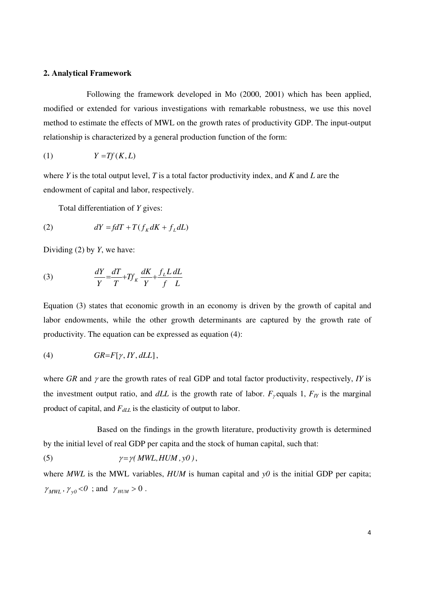#### **2. Analytical Framework**

Following the framework developed in Mo (2000, 2001) which has been applied, modified or extended for various investigations with remarkable robustness, we use this novel method to estimate the effects of MWL on the growth rates of productivity GDP. The input-output relationship is characterized by a general production function of the form:

$$
(1) \t Y = Tf(K, L)
$$

where *Y* is the total output level, *T* is a total factor productivity index, and *K* and *L* are the endowment of capital and labor, respectively.

Total differentiation of *Y* gives:

$$
(2) \t dY = fdT + T(fK dK + fL dL)
$$

Dividing (2) by *Y*, we have:

(3) 
$$
\frac{dY}{Y} = \frac{dT}{T} + Tf_K \frac{dK}{Y} + \frac{f_L L dL}{f L}
$$

Equation (3) states that economic growth in an economy is driven by the growth of capital and labor endowments, while the other growth determinants are captured by the growth rate of productivity. The equation can be expressed as equation (4):

$$
(4) \t\t GR=F[\gamma, IY, dLL],
$$

where  $GR$  and  $\gamma$  are the growth rates of real GDP and total factor productivity, respectively, *IY* is the investment output ratio, and  $dLL$  is the growth rate of labor.  $F_{\gamma}$  equals 1,  $F_{I}$  is the marginal product of capital, and *FdLL* is the elasticity of output to labor.

Based on the findings in the growth literature, productivity growth is determined by the initial level of real GDP per capita and the stock of human capital, such that:

(5) 
$$
\gamma = \gamma \left( MWL, HUM, y0 \right),
$$

where  $MWL$  is the MWL variables,  $HUM$  is human capital and  $y0$  is the initial GDP per capita;  $\gamma_{MWL}$ ,  $\gamma_{\nu0}$  < 0 ; and  $\gamma_{HUM}$  > 0.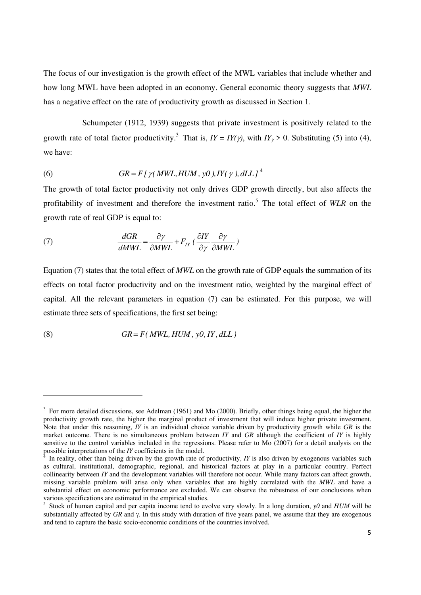The focus of our investigation is the growth effect of the MWL variables that include whether and how long MWL have been adopted in an economy. General economic theory suggests that *MWL* has a negative effect on the rate of productivity growth as discussed in Section 1.

Schumpeter (1912, 1939) suggests that private investment is positively related to the growth rate of total factor productivity.<sup>3</sup> That is,  $IY = IY(\gamma)$ , with  $IY_{\gamma} > 0$ . Substituting (5) into (4), we have:

(6) 
$$
GR = F[\gamma(MWL, HUM, y0), IY(\gamma), dLL]^4
$$

The growth of total factor productivity not only drives GDP growth directly, but also affects the profitability of investment and therefore the investment ratio.<sup>5</sup> The total effect of WLR on the growth rate of real GDP is equal to:

(7) 
$$
\frac{dGR}{dMWL} = \frac{\partial \gamma}{\partial MWL} + F_{IY} \left( \frac{\partial IY}{\partial \gamma} \frac{\partial \gamma}{\partial MWL} \right)
$$

Equation (7) states that the total effect of *MWL* on the growth rate of GDP equals the summation of its effects on total factor productivity and on the investment ratio, weighted by the marginal effect of capital. All the relevant parameters in equation (7) can be estimated. For this purpose, we will estimate three sets of specifications, the first set being:

$$
(8) \t\t GR = F(MWL, HUM, y0, IV, dLL)
$$

 $3$  For more detailed discussions, see Adelman (1961) and Mo (2000). Briefly, other things being equal, the higher the productivity growth rate, the higher the marginal product of investment that will induce higher private investment. Note that under this reasoning, *IY* is an individual choice variable driven by productivity growth while *GR* is the market outcome. There is no simultaneous problem between *IY* and *GR* although the coefficient of *IY* is highly sensitive to the control variables included in the regressions. Please refer to Mo (2007) for a detail analysis on the possible interpretations of the *IY* coefficients in the model.

In reality, other than being driven by the growth rate of productivity, *IY* is also driven by exogenous variables such as cultural, institutional, demographic, regional, and historical factors at play in a particular country. Perfect collinearity between *IY* and the development variables will therefore not occur. While many factors can affect growth, missing variable problem will arise only when variables that are highly correlated with the *MWL* and have a substantial effect on economic performance are excluded. We can observe the robustness of our conclusions when various specifications are estimated in the empirical studies.

<sup>5</sup> Stock of human capital and per capita income tend to evolve very slowly. In a long duration, *y0* and *HUM* will be substantially affected by  $GR$  and  $\gamma$ . In this study with duration of five years panel, we assume that they are exogenous and tend to capture the basic socio-economic conditions of the countries involved.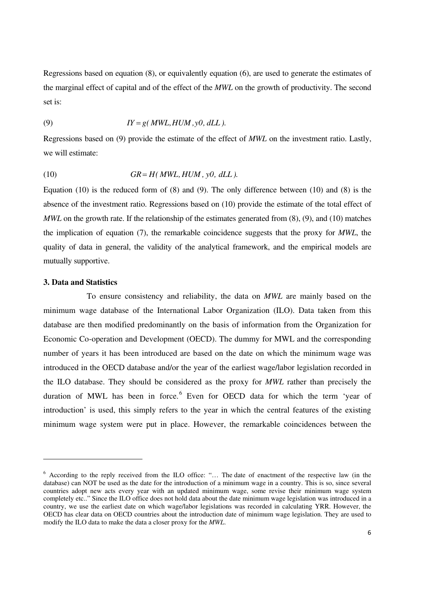Regressions based on equation (8), or equivalently equation (6), are used to generate the estimates of the marginal effect of capital and of the effect of the *MWL* on the growth of productivity. The second set is:

(9) 
$$
IY = g(MWL, HUM, y0, dLL).
$$

Regressions based on (9) provide the estimate of the effect of *MWL* on the investment ratio. Lastly, we will estimate:

$$
(10) \t\t GR = H(MWL, HUM, y0, dLL).
$$

Equation (10) is the reduced form of (8) and (9). The only difference between (10) and (8) is the absence of the investment ratio. Regressions based on (10) provide the estimate of the total effect of *MWL* on the growth rate. If the relationship of the estimates generated from  $(8)$ ,  $(9)$ , and  $(10)$  matches the implication of equation (7), the remarkable coincidence suggests that the proxy for *MWL*, the quality of data in general, the validity of the analytical framework, and the empirical models are mutually supportive.

#### **3. Data and Statistics**

To ensure consistency and reliability, the data on *MWL* are mainly based on the minimum wage database of the International Labor Organization (ILO). Data taken from this database are then modified predominantly on the basis of information from the Organization for Economic Co-operation and Development (OECD). The dummy for MWL and the corresponding number of years it has been introduced are based on the date on which the minimum wage was introduced in the OECD database and/or the year of the earliest wage/labor legislation recorded in the ILO database. They should be considered as the proxy for *MWL* rather than precisely the duration of MWL has been in force.<sup>6</sup> Even for OECD data for which the term 'year of introduction' is used, this simply refers to the year in which the central features of the existing minimum wage system were put in place. However, the remarkable coincidences between the

<sup>&</sup>lt;sup>6</sup> According to the reply received from the ILO office: "... The date of enactment of the respective law (in the database) can NOT be used as the date for the introduction of a minimum wage in a country. This is so, since several countries adopt new acts every year with an updated minimum wage, some revise their minimum wage system completely etc.." Since the ILO office does not hold data about the date minimum wage legislation was introduced in a country, we use the earliest date on which wage/labor legislations was recorded in calculating YRR. However, the OECD has clear data on OECD countries about the introduction date of minimum wage legislation. They are used to modify the ILO data to make the data a closer proxy for the *MWL*.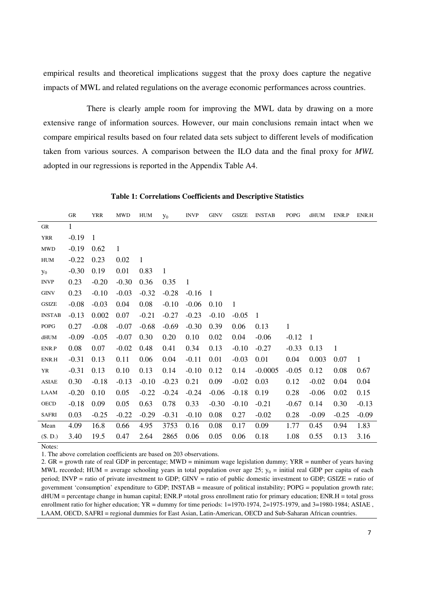empirical results and theoretical implications suggest that the proxy does capture the negative impacts of MWL and related regulations on the average economic performances across countries.

There is clearly ample room for improving the MWL data by drawing on a more extensive range of information sources. However, our main conclusions remain intact when we compare empirical results based on four related data sets subject to different levels of modification taken from various sources. A comparison between the ILO data and the final proxy for *MWL* adopted in our regressions is reported in the Appendix Table A4.

|               | GR           | <b>YRR</b>   | <b>MWD</b>   | <b>HUM</b> | $y_0$        | <b>INVP</b>  | <b>GINV</b> | <b>GSIZE</b> | <b>INSTAB</b> | <b>POPG</b>  | dHUM           | ENR.P   | ENR.H   |
|---------------|--------------|--------------|--------------|------------|--------------|--------------|-------------|--------------|---------------|--------------|----------------|---------|---------|
| GR            | $\mathbf{1}$ |              |              |            |              |              |             |              |               |              |                |         |         |
| <b>YRR</b>    | $-0.19$      | $\mathbf{1}$ |              |            |              |              |             |              |               |              |                |         |         |
| <b>MWD</b>    | $-0.19$      | 0.62         | $\mathbf{1}$ |            |              |              |             |              |               |              |                |         |         |
| <b>HUM</b>    | $-0.22$      | 0.23         | 0.02         | 1          |              |              |             |              |               |              |                |         |         |
| $y_0$         | $-0.30$      | 0.19         | 0.01         | 0.83       | $\mathbf{1}$ |              |             |              |               |              |                |         |         |
| <b>INVP</b>   | 0.23         | $-0.20$      | $-0.30$      | 0.36       | 0.35         | $\mathbf{1}$ |             |              |               |              |                |         |         |
| <b>GINV</b>   | 0.23         | $-0.10$      | $-0.03$      | $-0.32$    | $-0.28$      | $-0.16$      | -1          |              |               |              |                |         |         |
| <b>GSIZE</b>  | $-0.08$      | $-0.03$      | 0.04         | 0.08       | $-0.10$      | $-0.06$      | 0.10        | $\mathbf{1}$ |               |              |                |         |         |
| <b>INSTAB</b> | $-0.13$      | 0.002        | 0.07         | $-0.21$    | $-0.27$      | $-0.23$      | $-0.10$     | $-0.05$      | $\mathbf{1}$  |              |                |         |         |
| ${\tt POPG}$  | 0.27         | $-0.08$      | $-0.07$      | $-0.68$    | $-0.69$      | $-0.30$      | 0.39        | 0.06         | 0.13          | $\mathbf{1}$ |                |         |         |
| dHUM          | $-0.09$      | $-0.05$      | $-0.07$      | 0.30       | 0.20         | 0.10         | 0.02        | 0.04         | $-0.06$       | $-0.12$      | $\overline{1}$ |         |         |
| ENR.P         | 0.08         | 0.07         | $-0.02$      | 0.48       | 0.41         | 0.34         | 0.13        | $-0.10$      | $-0.27$       | $-0.33$      | 0.13           | 1       |         |
| ENR.H         | $-0.31$      | 0.13         | 0.11         | 0.06       | 0.04         | $-0.11$      | 0.01        | $-0.03$      | 0.01          | 0.04         | 0.003          | 0.07    | 1       |
| YR            | $-0.31$      | 0.13         | 0.10         | 0.13       | 0.14         | $-0.10$      | 0.12        | 0.14         | $-0.0005$     | $-0.05$      | 0.12           | 0.08    | 0.67    |
| <b>ASIAE</b>  | 0.30         | $-0.18$      | $-0.13$      | $-0.10$    | $-0.23$      | 0.21         | 0.09        | $-0.02$      | 0.03          | 0.12         | $-0.02$        | 0.04    | 0.04    |
| <b>LAAM</b>   | $-0.20$      | 0.10         | 0.05         | $-0.22$    | $-0.24$      | $-0.24$      | $-0.06$     | $-0.18$      | 0.19          | 0.28         | $-0.06$        | 0.02    | 0.15    |
| <b>OECD</b>   | $-0.18$      | 0.09         | 0.05         | 0.63       | 0.78         | 0.33         | $-0.30$     | $-0.10$      | $-0.21$       | $-0.67$      | 0.14           | 0.30    | $-0.13$ |
| <b>SAFRI</b>  | 0.03         | $-0.25$      | $-0.22$      | $-0.29$    | $-0.31$      | $-0.10$      | 0.08        | 0.27         | $-0.02$       | 0.28         | $-0.09$        | $-0.25$ | $-0.09$ |
| Mean          | 4.09         | 16.8         | 0.66         | 4.95       | 3753         | 0.16         | 0.08        | 0.17         | 0.09          | 1.77         | 0.45           | 0.94    | 1.83    |
| (S, D.)       | 3.40         | 19.5         | 0.47         | 2.64       | 2865         | 0.06         | 0.05        | 0.06         | 0.18          | 1.08         | 0.55           | 0.13    | 3.16    |

**Table 1: Correlations Coefficients and Descriptive Statistics** 

Notes:

1. The above correlation coefficients are based on 203 observations.

2. GR = growth rate of real GDP in percentage; MWD = minimum wage legislation dummy; YRR = number of years having MWL recorded; HUM = average schooling years in total population over age 25;  $y_0$  = initial real GDP per capita of each period; INVP = ratio of private investment to GDP; GINV = ratio of public domestic investment to GDP; GSIZE = ratio of government 'consumption' expenditure to GDP; INSTAB = measure of political instability; POPG = population growth rate; dHUM = percentage change in human capital; ENR.P =total gross enrollment ratio for primary education; ENR.H = total gross enrollment ratio for higher education; YR = dummy for time periods: 1=1970-1974, 2=1975-1979, and 3=1980-1984; ASIAE, LAAM, OECD, SAFRI = regional dummies for East Asian, Latin-American, OECD and Sub-Saharan African countries.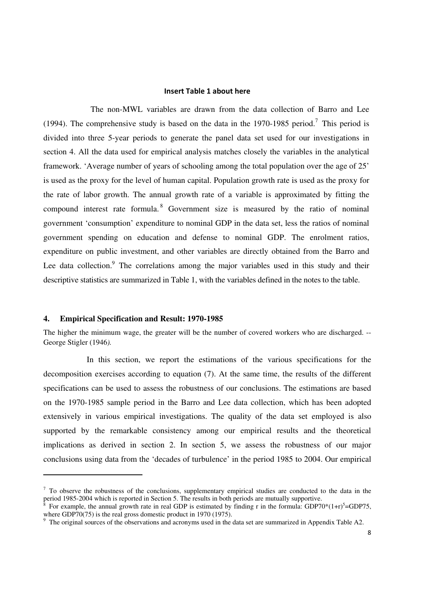#### **Insert Table 1 about here**

The non-MWL variables are drawn from the data collection of Barro and Lee (1994). The comprehensive study is based on the data in the 1970-1985 period.<sup>7</sup> This period is divided into three 5-year periods to generate the panel data set used for our investigations in section 4. All the data used for empirical analysis matches closely the variables in the analytical framework. 'Average number of years of schooling among the total population over the age of 25' is used as the proxy for the level of human capital. Population growth rate is used as the proxy for the rate of labor growth. The annual growth rate of a variable is approximated by fitting the compound interest rate formula.<sup>8</sup> Government size is measured by the ratio of nominal government 'consumption' expenditure to nominal GDP in the data set, less the ratios of nominal government spending on education and defense to nominal GDP. The enrolment ratios, expenditure on public investment, and other variables are directly obtained from the Barro and Lee data collection.<sup>9</sup> The correlations among the major variables used in this study and their descriptive statistics are summarized in Table 1, with the variables defined in the notes to the table.

#### **4. Empirical Specification and Result: 1970-1985**

The higher the minimum wage, the greater will be the number of covered workers who are discharged. -- George Stigler (1946*).*

In this section, we report the estimations of the various specifications for the decomposition exercises according to equation (7). At the same time, the results of the different specifications can be used to assess the robustness of our conclusions. The estimations are based on the 1970-1985 sample period in the Barro and Lee data collection, which has been adopted extensively in various empirical investigations. The quality of the data set employed is also supported by the remarkable consistency among our empirical results and the theoretical implications as derived in section 2. In section 5, we assess the robustness of our major conclusions using data from the 'decades of turbulence' in the period 1985 to 2004. Our empirical

 $<sup>7</sup>$  To observe the robustness of the conclusions, supplementary empirical studies are conducted to the data in the</sup> period 1985-2004 which is reported in Section 5. The results in both periods are mutually supportive.

<sup>8</sup> For example, the annual growth rate in real GDP is estimated by finding r in the formula: GDP70\*(1+r)<sup>5</sup>=GDP75, where GDP70(75) is the real gross domestic product in 1970 (1975).

<sup>&</sup>lt;sup>9</sup> The original sources of the observations and acronyms used in the data set are summarized in Appendix Table A2.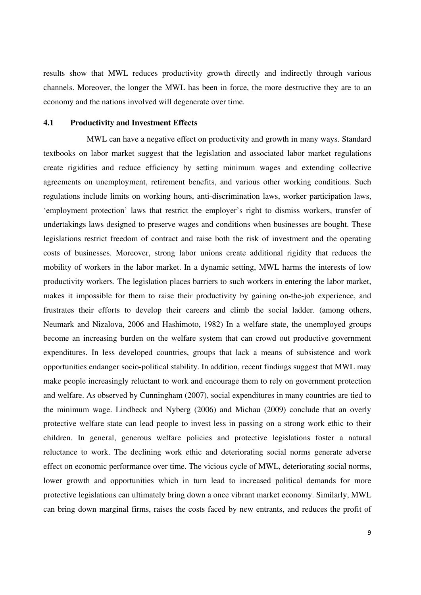results show that MWL reduces productivity growth directly and indirectly through various channels. Moreover, the longer the MWL has been in force, the more destructive they are to an economy and the nations involved will degenerate over time.

#### **4.1 Productivity and Investment Effects**

MWL can have a negative effect on productivity and growth in many ways. Standard textbooks on labor market suggest that the legislation and associated labor market regulations create rigidities and reduce efficiency by setting minimum wages and extending collective agreements on unemployment, retirement benefits, and various other working conditions. Such regulations include limits on working hours, anti-discrimination laws, worker participation laws, 'employment protection' laws that restrict the employer's right to dismiss workers, transfer of undertakings laws designed to preserve wages and conditions when businesses are bought. These legislations restrict freedom of contract and raise both the risk of investment and the operating costs of businesses. Moreover, strong labor unions create additional rigidity that reduces the mobility of workers in the labor market. In a dynamic setting, MWL harms the interests of low productivity workers. The legislation places barriers to such workers in entering the labor market, makes it impossible for them to raise their productivity by gaining on-the-job experience, and frustrates their efforts to develop their careers and climb the social ladder. (among others, Neumark and Nizalova, 2006 and Hashimoto, 1982) In a welfare state, the unemployed groups become an increasing burden on the welfare system that can crowd out productive government expenditures. In less developed countries, groups that lack a means of subsistence and work opportunities endanger socio-political stability. In addition, recent findings suggest that MWL may make people increasingly reluctant to work and encourage them to rely on government protection and welfare. As observed by Cunningham (2007), social expenditures in many countries are tied to the minimum wage. Lindbeck and Nyberg (2006) and Michau (2009) conclude that an overly protective welfare state can lead people to invest less in passing on a strong work ethic to their children. In general, generous welfare policies and protective legislations foster a natural reluctance to work. The declining work ethic and deteriorating social norms generate adverse effect on economic performance over time. The vicious cycle of MWL, deteriorating social norms, lower growth and opportunities which in turn lead to increased political demands for more protective legislations can ultimately bring down a once vibrant market economy. Similarly, MWL can bring down marginal firms, raises the costs faced by new entrants, and reduces the profit of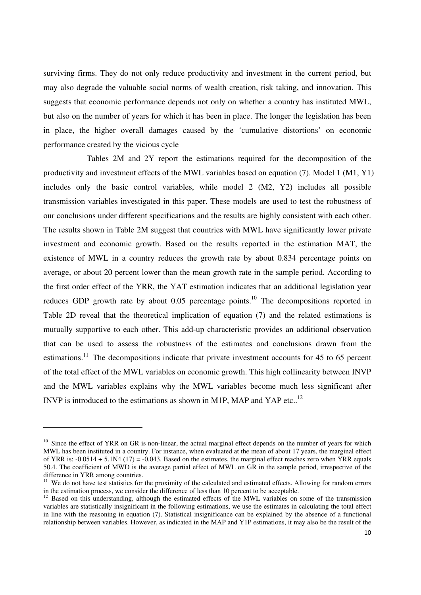surviving firms. They do not only reduce productivity and investment in the current period, but may also degrade the valuable social norms of wealth creation, risk taking, and innovation. This suggests that economic performance depends not only on whether a country has instituted MWL, but also on the number of years for which it has been in place. The longer the legislation has been in place, the higher overall damages caused by the 'cumulative distortions' on economic performance created by the vicious cycle

Tables 2M and 2Y report the estimations required for the decomposition of the productivity and investment effects of the MWL variables based on equation (7). Model 1 (M1, Y1) includes only the basic control variables, while model 2 (M2, Y2) includes all possible transmission variables investigated in this paper. These models are used to test the robustness of our conclusions under different specifications and the results are highly consistent with each other. The results shown in Table 2M suggest that countries with MWL have significantly lower private investment and economic growth. Based on the results reported in the estimation MAT, the existence of MWL in a country reduces the growth rate by about 0.834 percentage points on average, or about 20 percent lower than the mean growth rate in the sample period. According to the first order effect of the YRR, the YAT estimation indicates that an additional legislation year reduces GDP growth rate by about  $0.05$  percentage points.<sup>10</sup> The decompositions reported in Table 2D reveal that the theoretical implication of equation (7) and the related estimations is mutually supportive to each other. This add-up characteristic provides an additional observation that can be used to assess the robustness of the estimates and conclusions drawn from the estimations.<sup>11</sup> The decompositions indicate that private investment accounts for 45 to 65 percent of the total effect of the MWL variables on economic growth. This high collinearity between INVP and the MWL variables explains why the MWL variables become much less significant after INVP is introduced to the estimations as shown in M1P, MAP and YAP etc..<sup>12</sup>

<sup>&</sup>lt;sup>10</sup> Since the effect of YRR on GR is non-linear, the actual marginal effect depends on the number of years for which MWL has been instituted in a country. For instance, when evaluated at the mean of about 17 years, the marginal effect of YRR is:  $-0.0514 + 5.1N4 (17) = -0.043$ . Based on the estimates, the marginal effect reaches zero when YRR equals 50.4. The coefficient of MWD is the average partial effect of MWL on GR in the sample period, irrespective of the difference in YRR among countries.

<sup>&</sup>lt;sup>11</sup> We do not have test statistics for the proximity of the calculated and estimated effects. Allowing for random errors in the estimation process, we consider the difference of less than 10 percent to be acceptable.

<sup>&</sup>lt;sup>12</sup> Based on this understanding, although the estimated effects of the MWL variables on some of the transmission variables are statistically insignificant in the following estimations, we use the estimates in calculating the total effect in line with the reasoning in equation (7). Statistical insignificance can be explained by the absence of a functional relationship between variables. However, as indicated in the MAP and Y1P estimations, it may also be the result of the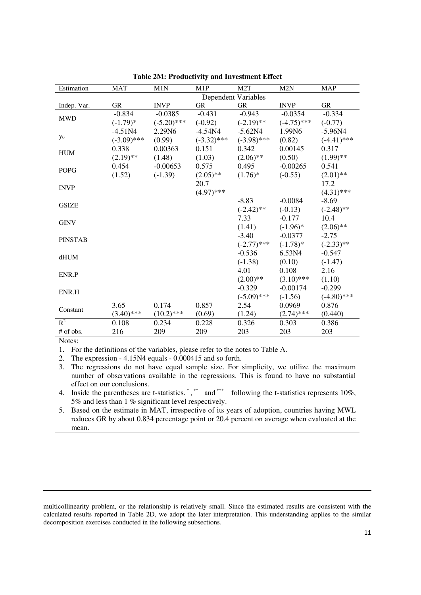| Estimation     | <b>MAT</b>    | M1N           | M1P                 | M2T           | M2N           | <b>MAP</b>    |
|----------------|---------------|---------------|---------------------|---------------|---------------|---------------|
|                |               |               | Dependent Variables |               |               |               |
| Indep. Var.    | <b>GR</b>     | <b>INVP</b>   | <b>GR</b>           | <b>GR</b>     | <b>INVP</b>   | <b>GR</b>     |
| <b>MWD</b>     | $-0.834$      | $-0.0385$     | $-0.431$            | $-0.943$      | $-0.0354$     | $-0.334$      |
|                | $(-1.79)*$    | $(-5.20)$ *** | $(-0.92)$           | $(-2.19)$ **  | $(-4.75)$ *** | $(-0.77)$     |
|                | $-4.51N4$     | 2.29N6        | $-4.54N4$           | $-5.62N4$     | 1.99N6        | $-5.96N4$     |
| $y_0$          | $(-3.09)$ *** | (0.99)        | $(-3.32)$ ***       | $(-3.98)$ *** | (0.82)        | $(-4.41)$ *** |
|                | 0.338         | 0.00363       | 0.151               | 0.342         | 0.00145       | 0.317         |
| <b>HUM</b>     | $(2.19)$ **   | (1.48)        | (1.03)              | $(2.06)$ **   | (0.50)        | $(1.99)$ **   |
|                | 0.454         | $-0.00653$    | 0.575               | 0.495         | $-0.00265$    | 0.541         |
| <b>POPG</b>    | (1.52)        | $(-1.39)$     | $(2.05)$ **         | $(1.76)^*$    | $(-0.55)$     | $(2.01)$ **   |
|                |               |               | 20.7                |               |               | 17.2          |
| <b>INVP</b>    |               |               | $(4.97)$ ***        |               |               | $(4.31)$ ***  |
|                |               |               |                     | $-8.83$       | $-0.0084$     | $-8.69$       |
| <b>GSIZE</b>   |               |               |                     | $(-2.42)$ **  | $(-0.13)$     | $(-2.48)$ **  |
|                |               |               |                     | 7.33          | $-0.177$      | 10.4          |
| <b>GINV</b>    |               |               |                     | (1.41)        | $(-1.96)*$    | $(2.06)$ **   |
|                |               |               |                     | $-3.40$       | $-0.0377$     | $-2.75$       |
| <b>PINSTAB</b> |               |               |                     | $(-2.77)$ *** | $(-1.78)*$    | $(-2.33)$ **  |
|                |               |               |                     | $-0.536$      | 6.53N4        | $-0.547$      |
| dHUM           |               |               |                     | $(-1.38)$     | (0.10)        | $(-1.47)$     |
|                |               |               |                     | 4.01          | 0.108         | 2.16          |
| ENR.P          |               |               |                     | $(2.00)$ **   | $(3.10)$ ***  | (1.10)        |
|                |               |               |                     | $-0.329$      | $-0.00174$    | $-0.299$      |
| ENR.H          |               |               |                     | $(-5.09)$ *** | $(-1.56)$     | $(-4.80)$ *** |
|                | 3.65          | 0.174         | 0.857               | 2.54          | 0.0969        | 0.876         |
| Constant       | $(3.40)$ ***  | $(10.2)$ ***  | (0.69)              | (1.24)        | $(2.74)$ ***  | (0.440)       |
| $R^2$          | 0.108         | 0.234         | 0.228               | 0.326         | 0.303         | 0.386         |
| # of obs.      | 216           | 209           | 209                 | 203           | 203           | 203           |

**Table 2M: Productivity and Investment Effect** 

1. For the definitions of the variables, please refer to the notes to Table A.

2. The expression - 4.15N4 equals - 0.000415 and so forth.

3. The regressions do not have equal sample size. For simplicity, we utilize the maximum number of observations available in the regressions. This is found to have no substantial effect on our conclusions.

4. Inside the parentheses are t-statistics.  $\dot{a}$ ,  $\dot{b}$  and  $\dot{a}$  following the t-statistics represents 10%, 5% and less than 1 % significant level respectively.

5. Based on the estimate in MAT, irrespective of its years of adoption, countries having MWL reduces GR by about 0.834 percentage point or 20.4 percent on average when evaluated at the mean.

<u> 1989 - Johann Barbert Barbert Barbert Barbert Barbert Barbert Barbert Barbert Barbert Barbert Barbert Barbert</u>

multicollinearity problem, or the relationship is relatively small. Since the estimated results are consistent with the calculated results reported in Table 2D, we adopt the later interpretation. This understanding applies to the similar decomposition exercises conducted in the following subsections.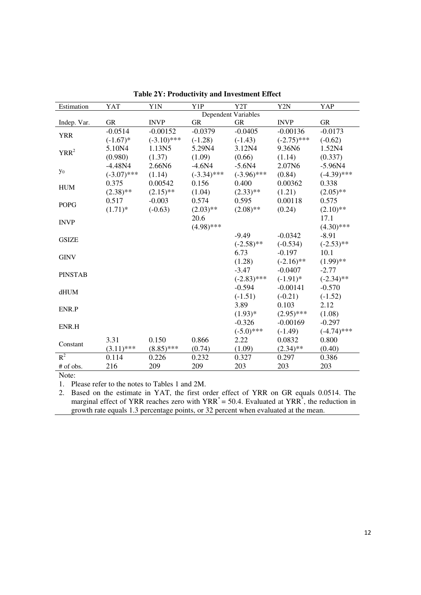| Estimation     | <b>YAT</b>    | Y1N           | Y1P           | Y <sub>2</sub> T    | Y <sub>2</sub> N | YAP           |
|----------------|---------------|---------------|---------------|---------------------|------------------|---------------|
|                |               |               |               | Dependent Variables |                  |               |
| Indep. Var.    | <b>GR</b>     | <b>INVP</b>   | <b>GR</b>     | <b>GR</b>           | <b>INVP</b>      | <b>GR</b>     |
| <b>YRR</b>     | $-0.0514$     | $-0.00152$    | $-0.0379$     | $-0.0405$           | $-0.00136$       | $-0.0173$     |
|                | $(-1.67)$ *   | $(-3.10)$ *** | $(-1.28)$     | $(-1.43)$           | $(-2.75)$ ***    | $(-0.62)$     |
| $YRR^2$        | 5.10N4        | 1.13N5        | 5.29N4        | 3.12N4              | 9.36N6           | 1.52N4        |
|                | (0.980)       | (1.37)        | (1.09)        | (0.66)              | (1.14)           | (0.337)       |
|                | $-4.48N4$     | 2.66N6        | $-4.6N4$      | $-5.6N4$            | 2.07N6           | $-5.96N4$     |
| $y_0$          | $(-3.07)$ *** | (1.14)        | $(-3.34)$ *** | $(-3.96)$ ***       | (0.84)           | $(-4.39)$ *** |
| <b>HUM</b>     | 0.375         | 0.00542       | 0.156         | 0.400               | 0.00362          | 0.338         |
|                | $(2.38)$ **   | $(2.15)$ **   | (1.04)        | $(2.33)$ **         | (1.21)           | $(2.05)$ **   |
|                | 0.517         | $-0.003$      | 0.574         | 0.595               | 0.00118          | 0.575         |
| <b>POPG</b>    | $(1.71)^*$    | $(-0.63)$     | $(2.03)$ **   | $(2.08)$ **         | (0.24)           | $(2.10)$ **   |
|                |               |               | 20.6          |                     |                  | 17.1          |
| <b>INVP</b>    |               |               | $(4.98)$ ***  |                     |                  | $(4.30)$ ***  |
|                |               |               |               | $-9.49$             | $-0.0342$        | $-8.91$       |
| <b>GSIZE</b>   |               |               |               | $(-2.58)$ **        | $(-0.534)$       | $(-2.53)$ **  |
|                |               |               |               | 6.73                | $-0.197$         | 10.1          |
| <b>GINV</b>    |               |               |               | (1.28)              | $(-2.16)$ **     | $(1.99)$ **   |
|                |               |               |               | $-3.47$             | $-0.0407$        | $-2.77$       |
| <b>PINSTAB</b> |               |               |               | $(-2.83)$ ***       | $(-1.91)$ *      | $(-2.34)$ **  |
|                |               |               |               | $-0.594$            | $-0.00141$       | $-0.570$      |
| dHUM           |               |               |               | $(-1.51)$           | $(-0.21)$        | $(-1.52)$     |
|                |               |               |               | 3.89                | 0.103            | 2.12          |
| ENR.P          |               |               |               | $(1.93)*$           | $(2.95)$ ***     | (1.08)        |
|                |               |               |               | $-0.326$            | $-0.00169$       | $-0.297$      |
| ENR.H          |               |               |               | $(-5.0)$ ***        | $(-1.49)$        | $(-4.74)$ *** |
|                | 3.31          | 0.150         | 0.866         | 2.22                | 0.0832           | 0.800         |
| Constant       | $(3.11)$ ***  | $(8.85)$ ***  | (0.74)        | (1.09)              | $(2.34)$ **      | (0.40)        |
| $R^2$          | 0.114         | 0.226         | 0.232         | 0.327               | 0.297            | 0.386         |
| # of obs.      | 216           | 209           | 209           | 203                 | 203              | 203           |

**Table 2Y: Productivity and Investment Effect** 

1. Please refer to the notes to Tables 1 and 2M.

2. Based on the estimate in YAT, the first order effect of YRR on GR equals 0.0514. The marginal effect of YRR reaches zero with  $YRR^* = 50.4$ . Evaluated at YRR<sup>\*</sup>, the reduction in growth rate equals 1.3 percentage points, or 32 percent when evaluated at the mean.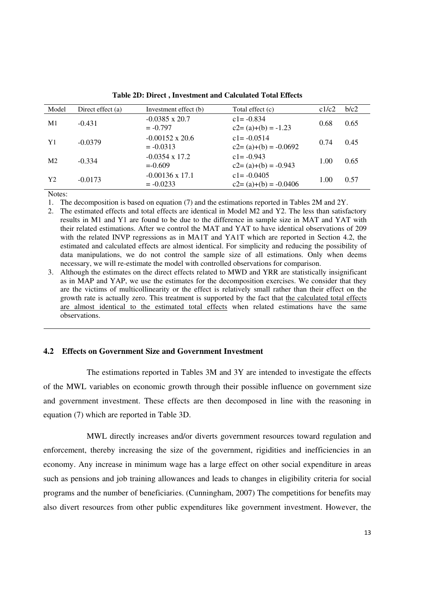| Model          | Direct effect (a) | Investment effect (b)                 | Total effect (c)                           | c1/c2 | b/c2 |
|----------------|-------------------|---------------------------------------|--------------------------------------------|-------|------|
| M1             | $-0.431$          | $-0.0385 \times 20.7$<br>$= -0.797$   | $c1 = -0.834$<br>$c2 = (a)+(b) = -1.23$    | 0.68  | 0.65 |
| Y1             | $-0.0379$         | $-0.00152 \times 20.6$<br>$=-0.0313$  | $c1 = -0.0514$<br>$c2 = (a)+(b) = -0.0692$ | 0.74  | 0.45 |
| M <sub>2</sub> | $-0.334$          | $-0.0354 \times 17.2$<br>$= -0.609$   | $c1 = -0.943$<br>$c2 = (a)+(b) = -0.943$   | 1.00  | 0.65 |
| Y <sub>2</sub> | $-0.0173$         | $-0.00136 \times 17.1$<br>$= -0.0233$ | $c1 = -0.0405$<br>$c2 = (a)+(b) = -0.0406$ | 1.00  | 0.57 |
| $ -$           |                   |                                       |                                            |       |      |

**Table 2D: Direct , Investment and Calculated Total Effects** 

1. The decomposition is based on equation (7) and the estimations reported in Tables 2M and 2Y.

2. The estimated effects and total effects are identical in Model M2 and Y2. The less than satisfactory results in M1 and Y1 are found to be due to the difference in sample size in MAT and YAT with their related estimations. After we control the MAT and YAT to have identical observations of 209 with the related INVP regressions as in MA1T and YA1T which are reported in Section 4.2, the estimated and calculated effects are almost identical. For simplicity and reducing the possibility of data manipulations, we do not control the sample size of all estimations. Only when deems necessary, we will re-estimate the model with controlled observations for comparison.

3. Although the estimates on the direct effects related to MWD and YRR are statistically insignificant as in MAP and YAP, we use the estimates for the decomposition exercises. We consider that they are the victims of multicollinearity or the effect is relatively small rather than their effect on the growth rate is actually zero. This treatment is supported by the fact that the calculated total effects are almost identical to the estimated total effects when related estimations have the same observations.

#### **4.2 Effects on Government Size and Government Investment**

The estimations reported in Tables 3M and 3Y are intended to investigate the effects of the MWL variables on economic growth through their possible influence on government size and government investment. These effects are then decomposed in line with the reasoning in equation (7) which are reported in Table 3D.

MWL directly increases and/or diverts government resources toward regulation and enforcement, thereby increasing the size of the government, rigidities and inefficiencies in an economy. Any increase in minimum wage has a large effect on other social expenditure in areas such as pensions and job training allowances and leads to changes in eligibility criteria for social programs and the number of beneficiaries. (Cunningham, 2007) The competitions for benefits may also divert resources from other public expenditures like government investment. However, the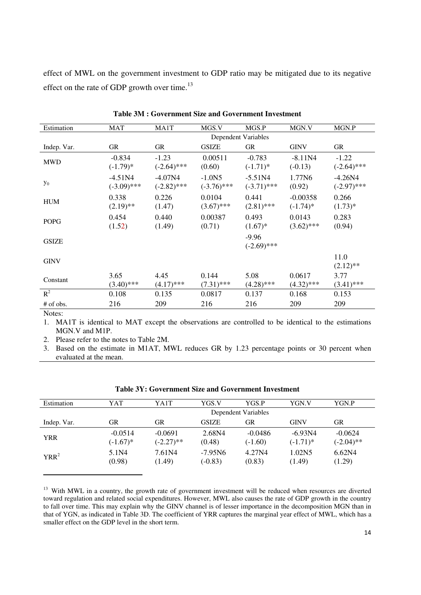effect of MWL on the government investment to GDP ratio may be mitigated due to its negative effect on the rate of GDP growth over time.<sup>13</sup>

| Estimation   | <b>MAT</b>                 | MA1T                       | MGS.V                      | MGS.P                      | MGN.V                     | MGN.P                      |
|--------------|----------------------------|----------------------------|----------------------------|----------------------------|---------------------------|----------------------------|
|              |                            |                            | <b>Dependent Variables</b> |                            |                           |                            |
| Indep. Var.  | <b>GR</b>                  | GR                         | <b>GSIZE</b>               | <b>GR</b>                  | <b>GINV</b>               | GR                         |
| <b>MWD</b>   | $-0.834$<br>$(-1.79)*$     | $-1.23$<br>$(-2.64)$ ***   | 0.00511<br>(0.60)          | $-0.783$<br>$(-1.71)^*$    | $-8.11N4$<br>$(-0.13)$    | $-1.22$<br>$(-2.64)$ ***   |
| $y_0$        | $-4.51N4$<br>$(-3.09)$ *** | $-4.07N4$<br>$(-2.82)$ *** | $-1.0N5$<br>$(-3.76)$ ***  | $-5.51N4$<br>$(-3.71)$ *** | 1.77N6<br>(0.92)          | $-4.26N4$<br>$(-2.97)$ *** |
| <b>HUM</b>   | 0.338<br>$(2.19)$ **       | 0.226<br>(1.47)            | 0.0104<br>$(3.67)$ ***     | 0.441<br>$(2.81)$ ***      | $-0.00358$<br>$(-1.74)$ * | 0.266<br>$(1.73)*$         |
| <b>POPG</b>  | 0.454<br>(1.52)            | 0.440<br>(1.49)            | 0.00387<br>(0.71)          | 0.493<br>$(1.67)^*$        | 0.0143<br>$(3.62)$ ***    | 0.283<br>(0.94)            |
| <b>GSIZE</b> |                            |                            |                            | $-9.96$<br>$(-2.69)$ ***   |                           |                            |
| <b>GINV</b>  |                            |                            |                            |                            |                           | 11.0<br>$(2.12)$ **        |
| Constant     | 3.65<br>$(3.40)$ ***       | 4.45<br>$(4.17)$ ***       | 0.144<br>$(7.31)$ ***      | 5.08<br>$(4.28)$ ***       | 0.0617<br>$(4.32)$ ***    | 3.77<br>$(3.41)$ ***       |
| $R^2$        | 0.108                      | 0.135                      | 0.0817                     | 0.137                      | 0.168                     | 0.153                      |
| # of obs.    | 216                        | 209                        | 216                        | 216                        | 209                       | 209                        |

**Table 3M : Government Size and Government Investment** 

Notes:

1. MA1T is identical to MAT except the observations are controlled to be identical to the estimations MGN.V and M1P.

2. Please refer to the notes to Table 2M.

3. Based on the estimate in M1AT, MWL reduces GR by 1.23 percentage points or 30 percent when evaluated at the mean.

| Estimation  | YAT         | YA1T         | YGS.V               | YGS.P     | YGN.V       | YGN.P              |
|-------------|-------------|--------------|---------------------|-----------|-------------|--------------------|
|             |             |              | Dependent Variables |           |             |                    |
| Indep. Var. | GR          | GR           | <b>GSIZE</b>        | GR        | <b>GINV</b> | GR                 |
| <b>YRR</b>  | $-0.0514$   | $-0.0691$    | 2.68N4              | $-0.0486$ | $-6.93N4$   | $-0.0624$          |
|             | $(-1.67)^*$ | $(-2.27)$ ** | (0.48)              | $(-1.60)$ | $(-1.71)^*$ | $(-2.04)$ **       |
| $YRR^2$     | 5.1N4       | 7.61N4       | $-7.95N6$           | 4.27N4    | 1.02N5      | 6.62N <sub>4</sub> |
|             | (0.98)      | (1.49)       | $(-0.83)$           | (0.83)    | (1.49)      | (1.29)             |

|  | Table 3Y: Government Size and Government Investment |  |  |  |
|--|-----------------------------------------------------|--|--|--|
|--|-----------------------------------------------------|--|--|--|

<sup>&</sup>lt;sup>13</sup> With MWL in a country, the growth rate of government investment will be reduced when resources are diverted toward regulation and related social expenditures. However, MWL also causes the rate of GDP growth in the country to fall over time. This may explain why the GINV channel is of lesser importance in the decomposition MGN than in that of YGN, as indicated in Table 3D. The coefficient of YRR captures the marginal year effect of MWL, which has a smaller effect on the GDP level in the short term.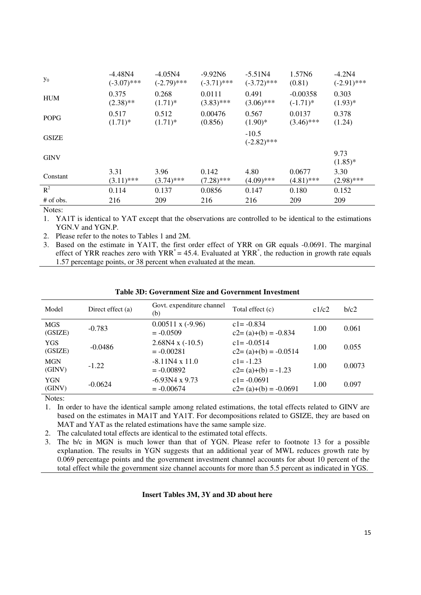| $y_0$        | $-4.48N4$     | $-4.05N4$     | $-9.92N6$     | $-5.51N4$                | 1.57N6       | $-4.2N4$           |
|--------------|---------------|---------------|---------------|--------------------------|--------------|--------------------|
|              | $(-3.07)$ *** | $(-2.79)$ *** | $(-3.71)$ *** | $(-3.72)$ ***            | (0.81)       | $(-2.91)$ ***      |
| <b>HUM</b>   | 0.375         | 0.268         | 0.0111        | 0.491                    | $-0.00358$   | 0.303              |
|              | $(2.38)$ **   | $(1.71)^*$    | $(3.83)$ ***  | $(3.06)$ ***             | $(-1.71)^*$  | $(1.93)*$          |
| <b>POPG</b>  | 0.517         | 0.512         | 0.00476       | 0.567                    | 0.0137       | 0.378              |
|              | $(1.71)^*$    | $(1.71)^*$    | (0.856)       | $(1.90)*$                | $(3.46)$ *** | (1.24)             |
| <b>GSIZE</b> |               |               |               | $-10.5$<br>$(-2.82)$ *** |              |                    |
| <b>GINV</b>  |               |               |               |                          |              | 9.73<br>$(1.85)^*$ |
| Constant     | 3.31          | 3.96          | 0.142         | 4.80                     | 0.0677       | 3.30               |
|              | $(3.11)$ ***  | $(3.74)$ ***  | $(7.28)$ ***  | $(4.09)$ ***             | $(4.81)$ *** | $(2.98)$ ***       |
| $R^2$        | 0.114         | 0.137         | 0.0856        | 0.147                    | 0.180        | 0.152              |
| # of obs.    | 216           | 209           | 216           | 216                      | 209          | 209                |

1. YA1T is identical to YAT except that the observations are controlled to be identical to the estimations YGN.V and YGN.P.

2. Please refer to the notes to Tables 1 and 2M.

3. Based on the estimate in YA1T, the first order effect of YRR on GR equals -0.0691. The marginal effect of YRR reaches zero with  $YRR^* = 45.4$ . Evaluated at YRR<sup>\*</sup>, the reduction in growth rate equals 1.57 percentage points, or 38 percent when evaluated at the mean.

| Model                 | Direct effect (a) | Govt. expenditure channel<br>(b)        | Total effect (c)                           | c1/c2 | b/c2   |
|-----------------------|-------------------|-----------------------------------------|--------------------------------------------|-------|--------|
| <b>MGS</b><br>(GSIZE) | $-0.783$          | $0.00511 \times (-9.96)$<br>$= -0.0509$ | $c1 = -0.834$<br>$c2 = (a)+(b) = -0.834$   | 1.00  | 0.061  |
| <b>YGS</b><br>(GSIZE) | $-0.0486$         | $2.68N4 \times (-10.5)$<br>$= -0.00281$ | $c1 = -0.0514$<br>$c2 = (a)+(b) = -0.0514$ | 1.00  | 0.055  |
| <b>MGN</b><br>(GINV)  | $-1.22$           | $-8.11N4 \times 11.0$<br>$= -0.00892$   | $c1 = -1.23$<br>$c2 = (a)+(b) = -1.23$     | 1.00  | 0.0073 |
| <b>YGN</b><br>(GINV)  | $-0.0624$         | $-6.93N4 \times 9.73$<br>$= -0.00674$   | $c1 = -0.0691$<br>$c2 = (a)+(b) = -0.0691$ | 1.00  | 0.097  |

Notes:

1. In order to have the identical sample among related estimations, the total effects related to GINV are based on the estimates in MA1T and YA1T. For decompositions related to GSIZE, they are based on MAT and YAT as the related estimations have the same sample size.

2. The calculated total effects are identical to the estimated total effects.

3. The b/c in MGN is much lower than that of YGN. Please refer to footnote 13 for a possible explanation. The results in YGN suggests that an additional year of MWL reduces growth rate by 0.069 percentage points and the government investment channel accounts for about 10 percent of the total effect while the government size channel accounts for more than 5.5 percent as indicated in YGS.

#### **Insert Tables 3M, 3Y and 3D about here**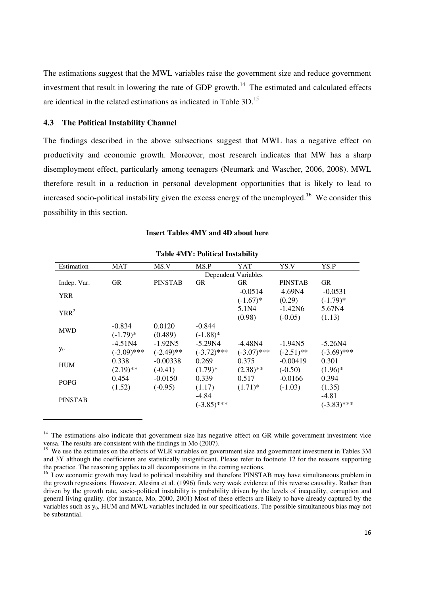The estimations suggest that the MWL variables raise the government size and reduce government investment that result in lowering the rate of GDP growth.<sup>14</sup> The estimated and calculated effects are identical in the related estimations as indicated in Table 3D.<sup>15</sup>

#### **4.3 The Political Instability Channel**

The findings described in the above subsections suggest that MWL has a negative effect on productivity and economic growth. Moreover, most research indicates that MW has a sharp disemployment effect, particularly among teenagers (Neumark and Wascher, 2006, 2008). MWL therefore result in a reduction in personal development opportunities that is likely to lead to increased socio-political instability given the excess energy of the unemployed.<sup>16</sup> We consider this possibility in this section.

| Estimation     | <b>MAT</b>    | MS.V           | MS.P          | YAT                 | YS.V           | YS.P          |
|----------------|---------------|----------------|---------------|---------------------|----------------|---------------|
|                |               |                |               | Dependent Variables |                |               |
| Indep. Var.    | GR            | <b>PINSTAB</b> | <b>GR</b>     | GR                  | <b>PINSTAB</b> | <b>GR</b>     |
| <b>YRR</b>     |               |                |               | $-0.0514$           | 4.69N4         | $-0.0531$     |
|                |               |                |               | $(-1.67)$ *         | (0.29)         | $(-1.79)*$    |
| $YRR^2$        |               |                |               | 5.1N4               | $-1.42N6$      | 5.67N4        |
|                |               |                |               | (0.98)              | $(-0.05)$      | (1.13)        |
|                | $-0.834$      | 0.0120         | $-0.844$      |                     |                |               |
| <b>MWD</b>     | $(-1.79)$ *   | (0.489)        | $(-1.88)$ *   |                     |                |               |
|                | $-4.51N4$     | $-1.92N5$      | $-5.29N4$     | $-4.48N4$           | $-1.94N5$      | $-5.26N4$     |
| $y_0$          | $(-3.09)$ *** | $(-2.49)$ **   | $(-3.72)$ *** | $(-3.07)$ ***       | $(-2.51)$ **   | $(-3.69)$ *** |
|                | 0.338         | $-0.00338$     | 0.269         | 0.375               | $-0.00419$     | 0.301         |
| HUM            | $(2.19)$ **   | $(-0.41)$      | $(1.79)^*$    | $(2.38)$ **         | $(-0.50)$      | $(1.96)^*$    |
|                | 0.454         | $-0.0150$      | 0.339         | 0.517               | $-0.0166$      | 0.394         |
| <b>POPG</b>    | (1.52)        | $(-0.95)$      | (1.17)        | $(1.71)^*$          | $(-1.03)$      | (1.35)        |
|                |               |                | $-4.84$       |                     |                | $-4.81$       |
| <b>PINSTAB</b> |               |                | $(-3.85)$ *** |                     |                | $(-3.83)$ *** |

## **Table 4MY: Political Instability**

**Insert Tables 4MY and 4D about here** 

<sup>&</sup>lt;sup>14</sup> The estimations also indicate that government size has negative effect on GR while government investment vice versa. The results are consistent with the findings in Mo (2007).

<sup>&</sup>lt;sup>15</sup> We use the estimates on the effects of WLR variables on government size and government investment in Tables 3M and 3Y although the coefficients are statistically insignificant. Please refer to footnote 12 for the reasons supporting the practice. The reasoning applies to all decompositions in the coming sections.

<sup>&</sup>lt;sup>16</sup> Low economic growth may lead to political instability and therefore PINSTAB may have simultaneous problem in the growth regressions. However, Alesina et al. (1996) finds very weak evidence of this reverse causality. Rather than driven by the growth rate, socio-political instability is probability driven by the levels of inequality, corruption and general living quality. (for instance, Mo, 2000, 2001) Most of these effects are likely to have already captured by the variables such as  $y_0$ , HUM and MWL variables included in our specifications. The possible simultaneous bias may not be substantial.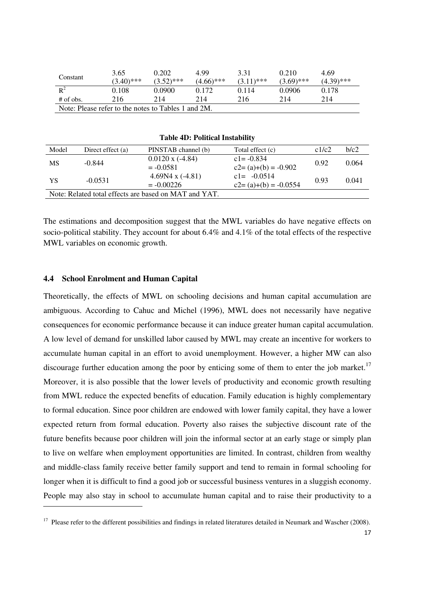| Constant                                            | 3.65         | 0.202        | 4.99         | 3.31         | 0.210        | 4.69         |  |  |
|-----------------------------------------------------|--------------|--------------|--------------|--------------|--------------|--------------|--|--|
|                                                     | $(3.40)$ *** | $(3.52)$ *** | $(4.66)$ *** | $(3.11)$ *** | $(3.69)$ *** | $(4.39)$ *** |  |  |
| $\mathbb{R}^2$                                      | 0.108        | 0.0900       | 0.172        | 0.114        | 0.0906       | 0.178        |  |  |
| $#$ of obs.                                         | 216          | 214          | 214          | 216          | 214          | 214          |  |  |
| Note: Please refer to the notes to Tables 1 and 2M. |              |              |              |              |              |              |  |  |
|                                                     |              |              |              |              |              |              |  |  |
|                                                     |              |              |              |              |              |              |  |  |

| <b>Table 4D: Political Instability</b>                |                                                 |                                            |                                            |       |       |  |  |
|-------------------------------------------------------|-------------------------------------------------|--------------------------------------------|--------------------------------------------|-------|-------|--|--|
| Model                                                 | Direct effect (a)                               | PINSTAB channel (b)                        | Total effect (c)                           | c1/c2 | b/c2  |  |  |
| <b>MS</b>                                             | $-0.844$                                        | $0.0120 \text{ x } (-4.84)$<br>$= -0.0581$ | $c1 = -0.834$<br>$c2 = (a)+(b) = -0.902$   | 0.92  | 0.064 |  |  |
| YS                                                    | 4.69N4 x $(-4.81)$<br>$-0.0531$<br>$= -0.00226$ |                                            | $c1 = -0.0514$<br>$c2 = (a)+(b) = -0.0554$ | 0.93  | 0.041 |  |  |
| Note: Related total effects are based on MAT and YAT. |                                                 |                                            |                                            |       |       |  |  |

The estimations and decomposition suggest that the MWL variables do have negative effects on socio-political stability. They account for about 6.4% and 4.1% of the total effects of the respective MWL variables on economic growth.

#### **4.4 School Enrolment and Human Capital**

Theoretically, the effects of MWL on schooling decisions and human capital accumulation are ambiguous. According to Cahuc and Michel (1996), MWL does not necessarily have negative consequences for economic performance because it can induce greater human capital accumulation. A low level of demand for unskilled labor caused by MWL may create an incentive for workers to accumulate human capital in an effort to avoid unemployment. However, a higher MW can also discourage further education among the poor by enticing some of them to enter the job market.<sup>17</sup> Moreover, it is also possible that the lower levels of productivity and economic growth resulting from MWL reduce the expected benefits of education. Family education is highly complementary to formal education. Since poor children are endowed with lower family capital, they have a lower expected return from formal education. Poverty also raises the subjective discount rate of the future benefits because poor children will join the informal sector at an early stage or simply plan to live on welfare when employment opportunities are limited. In contrast, children from wealthy and middle-class family receive better family support and tend to remain in formal schooling for longer when it is difficult to find a good job or successful business ventures in a sluggish economy. People may also stay in school to accumulate human capital and to raise their productivity to a

 $17$  Please refer to the different possibilities and findings in related literatures detailed in Neumark and Wascher (2008).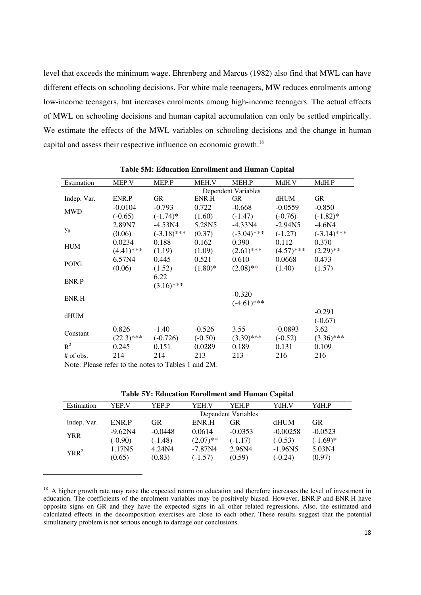level that exceeds the minimum wage. Ehrenberg and Marcus (1982) also find that MWL can have different effects on schooling decisions. For white male teenagers, MW reduces enrolments among low-income teenagers, but increases enrolments among high-income teenagers. The actual effects of MWL on schooling decisions and human capital accumulation can only be settled empirically. We estimate the effects of the MWL variables on schooling decisions and the change in human capital and assess their respective influence on economic growth.<sup>18</sup>

| Estimation                                          | MEP.V                      | MEP.P         | MEH.V      | MEH.P         | MdH.V        | MdH.P         |  |
|-----------------------------------------------------|----------------------------|---------------|------------|---------------|--------------|---------------|--|
|                                                     | <b>Dependent Variables</b> |               |            |               |              |               |  |
| Indep. Var.                                         | ENR.P                      | <b>GR</b>     | ENR.H      | <b>GR</b>     | dHUM         | GR            |  |
|                                                     | $-0.0104$                  | $-0.793$      | 0.722      | $-0.668$      | $-0.0559$    | $-0.850$      |  |
| <b>MWD</b>                                          | $(-0.65)$                  | $(-1.74)$ *   | (1.60)     | $(-1.47)$     | $(-0.76)$    | $(-1.82)$ *   |  |
|                                                     | 2.89N7                     | $-4.53N4$     | 5.28N5     | $-4.33N4$     | $-2.94N5$    | $-4.6N4$      |  |
| $y_0$                                               | (0.06)                     | $(-3.18)$ *** | (0.37)     | $(-3.04)$ *** | $(-1.27)$    | $(-3.14)$ *** |  |
|                                                     | 0.0234                     | 0.188         | 0.162      | 0.390         | 0.112        | 0.370         |  |
| <b>HUM</b>                                          | $(4.41)$ ***               | (1.19)        | (1.09)     | $(2.61)$ ***  | $(4.57)$ *** | $(2.29)$ **   |  |
|                                                     | 6.57N4                     | 0.445         | 0.521      | 0.610         | 0.0668       | 0.473         |  |
| <b>POPG</b>                                         | (0.06)                     | (1.52)        | $(1.80)$ * | $(2.08)$ **   | (1.40)       | (1.57)        |  |
|                                                     |                            | 6.22          |            |               |              |               |  |
| ENR.P                                               |                            | $(3.16)$ ***  |            |               |              |               |  |
|                                                     |                            |               |            | $-0.320$      |              |               |  |
| ENR.H                                               |                            |               |            | $(-4.61)$ *** |              |               |  |
|                                                     |                            |               |            |               |              | $-0.291$      |  |
| dHUM                                                |                            |               |            |               |              | $(-0.67)$     |  |
|                                                     | 0.826                      | $-1.40$       | $-0.526$   | 3.55          | $-0.0893$    | 3.62          |  |
| Constant                                            | $(22.3)$ ***               | $(-0.726)$    | $(-0.50)$  | $(3.39)$ ***  | $(-0.52)$    | $(3.36)$ ***  |  |
| $R^2$                                               | 0.245                      | 0.151         | 0.0289     | 0.189         | 0.131        | 0.109         |  |
| # of obs.                                           | 214                        | 214           | 213        | 213           | 216          | 216           |  |
| Note: Please refer to the notes to Tables 1 and 2M. |                            |               |            |               |              |               |  |

**Table 5M: Education Enrollment and Human Capital** 

**Table 5Y: Education Enrollment and Human Capital**

| Estimation  | YEP.V               | YEP.P     | <b>YEH.V</b> | YEH P     | YdH.V      | YdH.P      |  |
|-------------|---------------------|-----------|--------------|-----------|------------|------------|--|
|             | Dependent Variables |           |              |           |            |            |  |
| Indep. Var. | ENR P               | GR        | ENR H        | GR        | dHUM       | GR         |  |
| YRR         | $-9.62N4$           | $-0.0448$ | 0.0614       | $-0.0353$ | $-0.00258$ | $-0.0523$  |  |
|             | $(-0.90)$           | $(-1.48)$ | $(2.07)$ **  | $(-1.17)$ | $(-0.53)$  | $(-1.69)*$ |  |
| $YRR^2$     | 1.17N5              | 4.24N4    | $-7.87N4$    | 2.96N4    | $-1.96N5$  | 5.03N4     |  |
|             | (0.65)              | (0.83)    | $(-1.57)$    | (0.59)    | $(-0.24)$  | (0.97)     |  |

<sup>&</sup>lt;sup>18</sup> A higher growth rate may raise the expected return on education and therefore increases the level of investment in education. The coefficients of the enrolment variables may be positively biased. However, ENR.P and ENR.H have opposite signs on GR and they have the expected signs in all other related regressions. Also, the estimated and calculated effects in the decomposition exercises are close to each other. These results suggest that the potential simultaneity problem is not serious enough to damage our conclusions.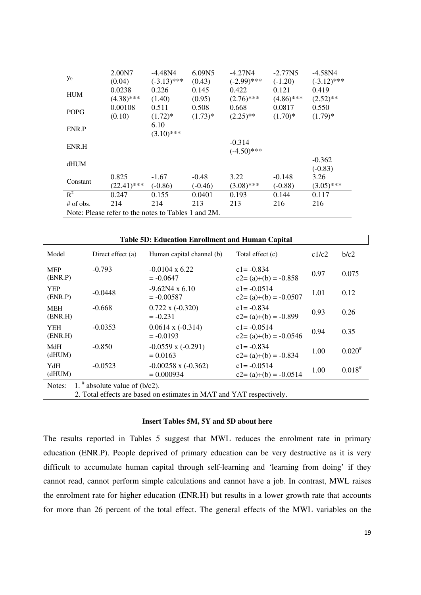| $y_0$                                               | 2.00N7<br>(0.04)        | $-4.48N4$<br>$(-3.13)$ *** | 6.09N5<br>(0.43)     | $-4.27N4$<br>$(-2.99)$ *** | $-2.77N5$<br>$(-1.20)$ | $-4.58N4$<br>$(-3.12)$ *** |
|-----------------------------------------------------|-------------------------|----------------------------|----------------------|----------------------------|------------------------|----------------------------|
| <b>HUM</b>                                          | 0.0238                  | 0.226                      | 0.145                | 0.422                      | 0.121                  | 0.419                      |
| <b>POPG</b>                                         | $(4.38)$ ***<br>0.00108 | (1.40)<br>0.511            | (0.95)<br>0.508      | $(2.76)$ ***<br>0.668      | $(4.86)$ ***<br>0.0817 | $(2.52)$ **<br>0.550       |
|                                                     | (0.10)                  | $(1.72)^*$<br>6.10         | $(1.73)*$            | $(2.25)$ **                | $(1.70)*$              | $(1.79)^*$                 |
| ENR.P                                               |                         | $(3.10)$ ***               |                      |                            |                        |                            |
| ENR.H                                               |                         |                            |                      | $-0.314$<br>$(-4.50)$ ***  |                        |                            |
| dHUM                                                |                         |                            |                      |                            |                        | $-0.362$<br>$(-0.83)$      |
| Constant                                            | 0.825<br>$(22.41)$ ***  | $-1.67$<br>$(-0.86)$       | $-0.48$<br>$(-0.46)$ | 3.22<br>$(3.08)$ ***       | $-0.148$<br>$(-0.88)$  | 3.26<br>$(3.05)$ ***       |
| $R^2$                                               | 0.247                   | 0.155                      | 0.0401               | 0.193                      | 0.144                  | 0.117                      |
| $#$ of obs.                                         | 214                     | 214                        | 213                  | 213                        | 216                    | 216                        |
| Note: Please refer to the notes to Tables 1 and 2M. |                         |                            |                      |                            |                        |                            |

| <b>Table 5D: Education Enrollment and Human Capital</b> |                                                                      |                                         |                                            |       |             |  |  |  |
|---------------------------------------------------------|----------------------------------------------------------------------|-----------------------------------------|--------------------------------------------|-------|-------------|--|--|--|
| Model                                                   | Direct effect $(a)$                                                  | Human capital channel (b)               | Total effect (c)                           | c1/c2 | b/c2        |  |  |  |
| <b>MEP</b><br>(ENR.P)                                   | $-0.793$                                                             | $-0.0104 \times 6.22$<br>$= -0.0647$    | $c1 = -0.834$<br>$c2 = (a)+(b) = -0.858$   | 0.97  | 0.075       |  |  |  |
| <b>YEP</b><br>(ENR.P)                                   | $-0.0448$                                                            | $-9.62N4 \times 6.10$<br>$= -0.00587$   | $c1 = -0.0514$<br>$c2 = (a)+(b) = -0.0507$ | 1.01  | 0.12        |  |  |  |
| <b>MEH</b><br>(ENR.H)                                   | $-0.668$                                                             | $0.722 \times (-0.320)$<br>$=-0.231$    | $c1 = -0.834$<br>$c2 = (a)+(b) = -0.899$   | 0.93  | 0.26        |  |  |  |
| <b>YEH</b><br>(ENR.H)                                   | $-0.0353$                                                            | $0.0614 \times (-0.314)$<br>$=-0.0193$  | $c1 = -0.0514$<br>$c2 = (a)+(b) = -0.0546$ | 0.94  | 0.35        |  |  |  |
| MdH<br>(dHUM)                                           | $-0.850$                                                             | $-0.0559$ x $(-0.291)$<br>$= 0.0163$    | $c1 = -0.834$<br>$c2 = (a)+(b) = -0.834$   | 1.00  | $0.020^{#}$ |  |  |  |
| YdH<br>(dHUM)                                           | $-0.0523$                                                            | $-0.00258$ x $(-0.362)$<br>$= 0.000934$ | $c1 = -0.0514$<br>$c2 = (a)+(b) = -0.0514$ | 1.00  | $0.018^{#}$ |  |  |  |
| Notes:                                                  | 1. $*$ absolute value of (b/c2).                                     |                                         |                                            |       |             |  |  |  |
|                                                         | 2. Total effects are based on estimates in MAT and YAT respectively. |                                         |                                            |       |             |  |  |  |

#### **Insert Tables 5M, 5Y and 5D about here**

The results reported in Tables 5 suggest that MWL reduces the enrolment rate in primary education (ENR.P). People deprived of primary education can be very destructive as it is very difficult to accumulate human capital through self-learning and 'learning from doing' if they cannot read, cannot perform simple calculations and cannot have a job. In contrast, MWL raises the enrolment rate for higher education (ENR.H) but results in a lower growth rate that accounts for more than 26 percent of the total effect. The general effects of the MWL variables on the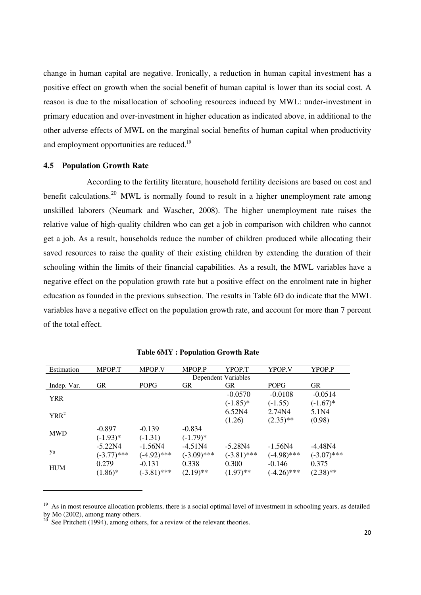change in human capital are negative. Ironically, a reduction in human capital investment has a positive effect on growth when the social benefit of human capital is lower than its social cost. A reason is due to the misallocation of schooling resources induced by MWL: under-investment in primary education and over-investment in higher education as indicated above, in additional to the other adverse effects of MWL on the marginal social benefits of human capital when productivity and employment opportunities are reduced.<sup>19</sup>

#### **4.5 Population Growth Rate**

According to the fertility literature, household fertility decisions are based on cost and benefit calculations.<sup>20</sup> MWL is normally found to result in a higher unemployment rate among unskilled laborers (Neumark and Wascher, 2008). The higher unemployment rate raises the relative value of high-quality children who can get a job in comparison with children who cannot get a job. As a result, households reduce the number of children produced while allocating their saved resources to raise the quality of their existing children by extending the duration of their schooling within the limits of their financial capabilities. As a result, the MWL variables have a negative effect on the population growth rate but a positive effect on the enrolment rate in higher education as founded in the previous subsection. The results in Table 6D do indicate that the MWL variables have a negative effect on the population growth rate, and account for more than 7 percent of the total effect.

| $-0.0514$                |
|--------------------------|
| $(-1.67)$ *              |
|                          |
|                          |
|                          |
|                          |
| $-4.48N4$                |
| $(-3.07)$ ***            |
|                          |
| $(2.38)$ **              |
| 5.1N4<br>(0.98)<br>0.375 |

#### **Table 6MY : Population Growth Rate**

 $19$  As in most resource allocation problems, there is a social optimal level of investment in schooling years, as detailed by Mo  $(2002)$ , among many others.

See Pritchett  $(1994)$ , among others, for a review of the relevant theories.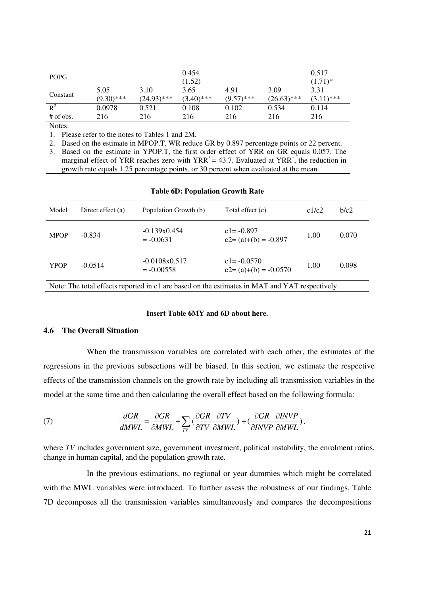| <b>POPG</b> |                      |                       | 0.454<br>(1.52)      |                      |                       | 0.517<br>$(1.71)^*$  |
|-------------|----------------------|-----------------------|----------------------|----------------------|-----------------------|----------------------|
| Constant    | 5.05<br>$(9.30)$ *** | 3.10<br>$(24.93)$ *** | 3.65<br>$(3.40)$ *** | 4.91<br>$(9.57)$ *** | 3.09<br>$(26.63)$ *** | 3.31<br>$(0.11)$ *** |
| $R^2$       | 0.0978               | 0.521                 | 0.108                | 0.102                | 0.534                 | 0.114                |
| $#$ of obs. | 216                  | 216                   | 216                  | 216                  | 216                   | 216                  |

1. Please refer to the notes to Tables 1 and 2M.

2. Based on the estimate in MPOP.T, WR reduce GR by 0.897 percentage points or 22 percent.

3. Based on the estimate in YPOP.T, the first order effect of YRR on GR equals 0.057. The marginal effect of YRR reaches zero with  $YRR^* = 43.7$ . Evaluated at YRR<sup>\*</sup>, the reduction in growth rate equals 1.25 percentage points, or 30 percent when evaluated at the mean.

| Model          | Direct effect (a) | Population Growth (b)           | Total effect (c)                          | c1/c2     | b/c2  |
|----------------|-------------------|---------------------------------|-------------------------------------------|-----------|-------|
| <b>MPOP</b>    | $-0.834$          | $-0.139x0.454$<br>$= -0.0631$   | $c1 = -0.897$<br>$c2 = (a)+(b) = -0.897$  | 1.00      | 0.070 |
| <b>YPOP</b>    | $-0.0514$         | $-0.0108x0.517$<br>$= -0.00558$ | $c = -0.0570$<br>$c2 = (a)+(b) = -0.0570$ | 1.00      | 0.098 |
| $\mathbf{r}$ . | $T = 1$           | $\sim$ 1.1 $\sim$ 1.1 $\sim$    | $1.77.4$ m                                | $\cdot$ . |       |

#### **Table 6D: Population Growth Rate**

Note: The total effects reported in c1 are based on the estimates in MAT and YAT respectively.

#### **Insert Table 6MY and 6D about here.**

#### **4.6 The Overall Situation**

When the transmission variables are correlated with each other, the estimates of the regressions in the previous subsections will be biased. In this section, we estimate the respective effects of the transmission channels on the growth rate by including all transmission variables in the model at the same time and then calculating the overall effect based on the following formula:

(7) 
$$
\frac{dGR}{dMWL} = \frac{\partial GR}{\partial MWL} + \sum_{TV} \left( \frac{\partial GR}{\partial TV} \frac{\partial TV}{\partial MWL} \right) + \left( \frac{\partial GR}{\partial INVP} \frac{\partial INVP}{\partial MWL} \right).
$$

where *TV* includes government size, government investment, political instability, the enrolment ratios, change in human capital, and the population growth rate.

In the previous estimations, no regional or year dummies which might be correlated with the MWL variables were introduced. To further assess the robustness of our findings, Table 7D decomposes all the transmission variables simultaneously and compares the decompositions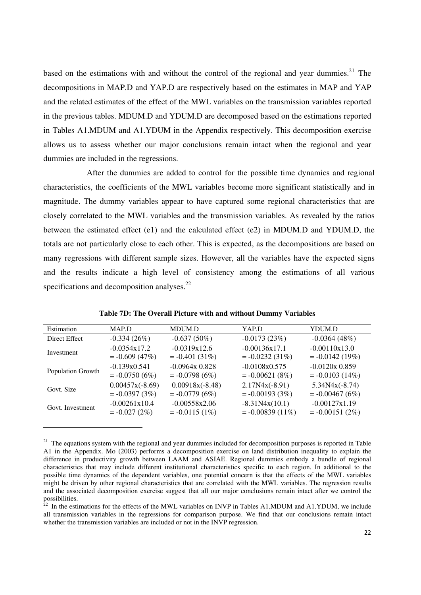based on the estimations with and without the control of the regional and year dummies. $^{21}$  The decompositions in MAP.D and YAP.D are respectively based on the estimates in MAP and YAP and the related estimates of the effect of the MWL variables on the transmission variables reported in the previous tables. MDUM.D and YDUM.D are decomposed based on the estimations reported in Tables A1.MDUM and A1.YDUM in the Appendix respectively. This decomposition exercise allows us to assess whether our major conclusions remain intact when the regional and year dummies are included in the regressions.

After the dummies are added to control for the possible time dynamics and regional characteristics, the coefficients of the MWL variables become more significant statistically and in magnitude. The dummy variables appear to have captured some regional characteristics that are closely correlated to the MWL variables and the transmission variables. As revealed by the ratios between the estimated effect (e1) and the calculated effect (e2) in MDUM.D and YDUM.D, the totals are not particularly close to each other. This is expected, as the decompositions are based on many regressions with different sample sizes. However, all the variables have the expected signs and the results indicate a high level of consistency among the estimations of all various specifications and decomposition analyses. $22$ 

| Estimation        | MAP.D             | MDUM.D            | YAP.D              | YDUM.D            |
|-------------------|-------------------|-------------------|--------------------|-------------------|
| Direct Effect     | $-0.334(26%)$     | $-0.637(50%)$     | $-0.0173(23%)$     | $-0.0364(48%)$    |
| Investment        | $-0.0354x17.2$    | $-0.0319x12.6$    | $-0.00136x17.1$    | $-0.00110x13.0$   |
|                   | $= -0.609(47%)$   | $= -0.401(31\%)$  | $= -0.0232(31\%)$  | $= -0.0142(19%)$  |
| Population Growth | $-0.139x0.541$    | $-0.0964x0.828$   | $-0.0108x0.575$    | $-0.0120x0.859$   |
|                   | $= -0.0750(6%)$   | $= -0.0798(6%)$   | $= -0.00621(8%)$   | $= -0.0103(14\%)$ |
| Govt. Size        | $0.00457x(-8.69)$ | $0.00918x(-8.48)$ | $2.17N4x(-8.91)$   | $5.34N4x(-8.74)$  |
|                   | $= -0.0397(3%)$   | $= -0.0779(6%)$   | $= -0.00193(3%)$   | $= -0.00467(6%)$  |
| Govt. Investment  | $-0.00261x10.4$   | $-0.00558x2.06$   | $-8.31N4x(10.1)$   | $-0.00127x1.19$   |
|                   | $= -0.027(2%)$    | $= -0.0115(1\%)$  | $= -0.00839(11\%)$ | $= -0.00151(2%)$  |

**Table 7D: The Overall Picture with and without Dummy Variables** 

 $21$  The equations system with the regional and year dummies included for decomposition purposes is reported in Table A1 in the Appendix. Mo (2003) performs a decomposition exercise on land distribution inequality to explain the difference in productivity growth between LAAM and ASIAE. Regional dummies embody a bundle of regional characteristics that may include different institutional characteristics specific to each region. In additional to the possible time dynamics of the dependent variables, one potential concern is that the effects of the MWL variables might be driven by other regional characteristics that are correlated with the MWL variables. The regression results and the associated decomposition exercise suggest that all our major conclusions remain intact after we control the  $\frac{1}{22}$  possibilities.

 $2<sup>2</sup>$  In the estimations for the effects of the MWL variables on INVP in Tables A1.MDUM and A1.YDUM, we include all transmission variables in the regressions for comparison purpose. We find that our conclusions remain intact whether the transmission variables are included or not in the INVP regression.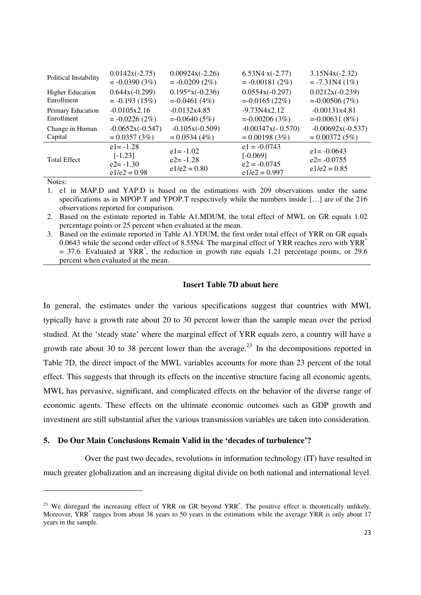| Political Instability   | $0.0142x(-2.75)$                                            | $0.00924x(-2.26)$                              | $6.53N4x(-2.77)$                                                  | $3.15N4x(-2.32)$                                   |
|-------------------------|-------------------------------------------------------------|------------------------------------------------|-------------------------------------------------------------------|----------------------------------------------------|
|                         | $= -0.0390(3%)$                                             | $= -0.0209(2\%)$                               | $= -0.00181(2%)$                                                  | $= -7.31N4(1%)$                                    |
| <b>Higher Education</b> | $0.644x(-0.299)$                                            | $0.195*x(-0.236)$                              | $0.0554x(-0.297)$                                                 | $0.0212x(-0.239)$                                  |
| Enrollment              | $= -0.193(15%)$                                             | $= -0.0461(4%)$                                | $= -0.0165(22%)$                                                  | $= -0.00506(7%)$                                   |
| Primary Education       | $-0.0105x2.16$                                              | $-0.0132x4.85$                                 | $-9.73N4x2.12$                                                    | $-0.00131x4.81$                                    |
| Enrollment              | $= -0.0226(2%)$                                             | $= -0.0640(5%)$                                | $= -0.00206(3%)$                                                  | $= -0.00631(8%)$                                   |
| Change in Human         | $-0.0652x(-0.547)$                                          | $-0.105x(-0.509)$                              | $-0.00347x(-0.570)$                                               | $-0.00692x(-0.537)$                                |
| Capital                 | $= 0.0357(3%)$                                              | $= 0.0534(4\%)$                                | $= 0.00198(3%)$                                                   | $= 0.00372(5\%)$                                   |
| <b>Total Effect</b>     | $e1 = -1.28$<br>$[-1.23]$<br>$e2 = -1.30$<br>$e1/e2 = 0.98$ | $e1 = -1.02$<br>$e2 = -1.28$<br>$e1/e2 = 0.80$ | $e1 = -0.0743$<br>$[-0.069]$<br>$e2 = -0.0745$<br>$e1/e2 = 0.997$ | $e1 = -0.0643$<br>$e2 = -0.0755$<br>$e1/e2 = 0.85$ |

1. e1 in MAP.D and YAP.D is based on the estimations with 209 observations under the same specifications as in MPOP.T and YPOP.T respectively while the numbers inside […] are of the 216 observations reported for comparison.

2. Based on the estimate reported in Table A1.MDUM, the total effect of MWL on GR equals 1.02 percentage points or 25 percent when evaluated at the mean.

3. Based on the estimate reported in Table A1.YDUM, the first order total effect of YRR on GR equals 0.0643 while the second order effect of 8.55N4. The marginal effect of YRR reaches zero with YRR<sup>\*</sup> = 37.6. Evaluated at YRR\* , the reduction in growth rate equals 1.21 percentage points, or 29.6 percent when evaluated at the mean.

#### **Insert Table 7D about here**

In general, the estimates under the various specifications suggest that countries with MWL typically have a growth rate about 20 to 30 percent lower than the sample mean over the period studied. At the 'steady state' where the marginal effect of YRR equals zero, a country will have a growth rate about 30 to 38 percent lower than the average.<sup>23</sup> In the decompositions reported in Table 7D, the direct impact of the MWL variables accounts for more than 23 percent of the total effect. This suggests that through its effects on the incentive structure facing all economic agents, MWL has pervasive, significant, and complicated effects on the behavior of the diverse range of economic agents. These effects on the ultimate economic outcomes such as GDP growth and investment are still substantial after the various transmission variables are taken into consideration.

#### **5. Do Our Main Conclusions Remain Valid in the 'decades of turbulence'?**

Over the past two decades, revolutions in information technology (IT) have resulted in much greater globalization and an increasing digital divide on both national and international level.

 $2<sup>23</sup>$  We disregard the increasing effect of YRR on GR beyond YRR<sup>\*</sup>. The positive effect is theoretically unlikely. Moreover, YRR<sup>\*</sup> ranges from about 38 years to 50 years in the estimations while the average YRR is only about 17 years in the sample.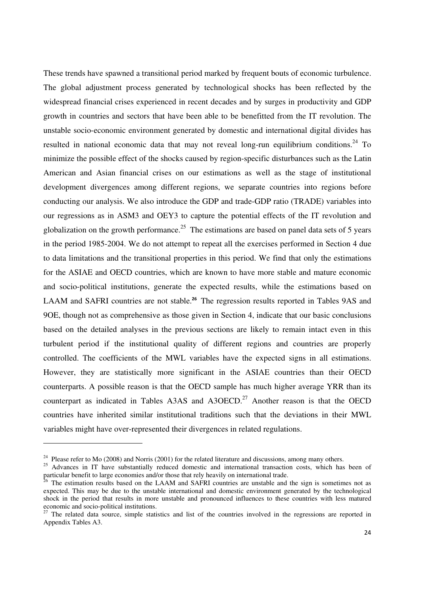These trends have spawned a transitional period marked by frequent bouts of economic turbulence. The global adjustment process generated by technological shocks has been reflected by the widespread financial crises experienced in recent decades and by surges in productivity and GDP growth in countries and sectors that have been able to be benefitted from the IT revolution. The unstable socio-economic environment generated by domestic and international digital divides has resulted in national economic data that may not reveal long-run equilibrium conditions.<sup>24</sup> To minimize the possible effect of the shocks caused by region-specific disturbances such as the Latin American and Asian financial crises on our estimations as well as the stage of institutional development divergences among different regions, we separate countries into regions before conducting our analysis. We also introduce the GDP and trade-GDP ratio (TRADE) variables into our regressions as in ASM3 and OEY3 to capture the potential effects of the IT revolution and globalization on the growth performance.<sup>25</sup> The estimations are based on panel data sets of 5 years in the period 1985-2004. We do not attempt to repeat all the exercises performed in Section 4 due to data limitations and the transitional properties in this period. We find that only the estimations for the ASIAE and OECD countries, which are known to have more stable and mature economic and socio-political institutions, generate the expected results, while the estimations based on LAAM and SAFRI countries are not stable.**<sup>26</sup>** The regression results reported in Tables 9AS and 9OE, though not as comprehensive as those given in Section 4, indicate that our basic conclusions based on the detailed analyses in the previous sections are likely to remain intact even in this turbulent period if the institutional quality of different regions and countries are properly controlled. The coefficients of the MWL variables have the expected signs in all estimations. However, they are statistically more significant in the ASIAE countries than their OECD counterparts. A possible reason is that the OECD sample has much higher average YRR than its counterpart as indicated in Tables A3AS and A3OECD.<sup>27</sup> Another reason is that the OECD countries have inherited similar institutional traditions such that the deviations in their MWL variables might have over-represented their divergences in related regulations.

<sup>&</sup>lt;sup>24</sup> Please refer to Mo (2008) and Norris (2001) for the related literature and discussions, among many others.

<sup>&</sup>lt;sup>25</sup> Advances in IT have substantially reduced domestic and international transaction costs, which has been of particular benefit to large economies and/or those that rely heavily on international trade.

<sup>&</sup>lt;sup>26</sup> The estimation results based on the LAAM and SAFRI countries are unstable and the sign is sometimes not as expected. This may be due to the unstable international and domestic environment generated by the technological shock in the period that results in more unstable and pronounced influences to these countries with less matured economic and socio-political institutions.

 $27$  The related data source, simple statistics and list of the countries involved in the regressions are reported in Appendix Tables A3.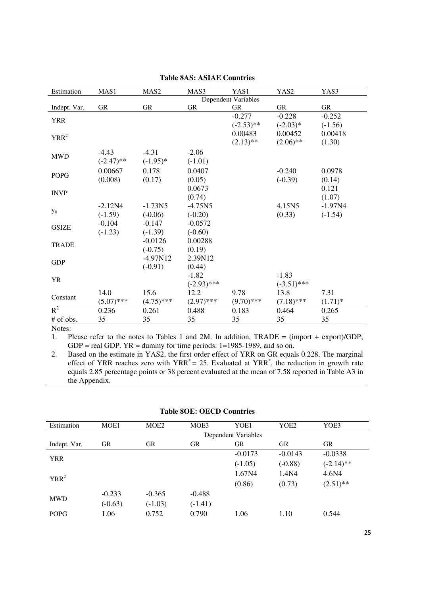| Estimation   | MAS1         | MAS <sub>2</sub> | MAS3          | YAS1                | YAS2          | YAS3       |
|--------------|--------------|------------------|---------------|---------------------|---------------|------------|
|              |              |                  |               | Dependent Variables |               |            |
| Indept. Var. | <b>GR</b>    | GR               | <b>GR</b>     | <b>GR</b>           | <b>GR</b>     | GR         |
| <b>YRR</b>   |              |                  |               | $-0.277$            | $-0.228$      | $-0.252$   |
|              |              |                  |               | $(-2.53)$ **        | $(-2.03)*$    | $(-1.56)$  |
| $YRR^2$      |              |                  |               | 0.00483             | 0.00452       | 0.00418    |
|              |              |                  |               | $(2.13)$ **         | $(2.06)$ **   | (1.30)     |
| <b>MWD</b>   | $-4.43$      | $-4.31$          | $-2.06$       |                     |               |            |
|              | $(-2.47)$ ** | $(-1.95)^*$      | $(-1.01)$     |                     |               |            |
|              | 0.00667      | 0.178            | 0.0407        |                     | $-0.240$      | 0.0978     |
| <b>POPG</b>  | (0.008)      | (0.17)           | (0.05)        |                     | $(-0.39)$     | (0.14)     |
|              |              |                  | 0.0673        |                     |               | 0.121      |
| <b>INVP</b>  |              |                  | (0.74)        |                     |               | (1.07)     |
|              | $-2.12N4$    | $-1.73N5$        | $-4.75N5$     |                     | 4.15N5        | $-1.97N4$  |
| $y_0$        | $(-1.59)$    | $(-0.06)$        | $(-0.20)$     |                     | (0.33)        | $(-1.54)$  |
|              | $-0.104$     | $-0.147$         | $-0.0572$     |                     |               |            |
| <b>GSIZE</b> | $(-1.23)$    | $(-1.39)$        | $(-0.60)$     |                     |               |            |
|              |              | $-0.0126$        | 0.00288       |                     |               |            |
| <b>TRADE</b> |              | $(-0.75)$        | (0.19)        |                     |               |            |
|              |              | $-4.97N12$       | 2.39N12       |                     |               |            |
| <b>GDP</b>   |              | $(-0.91)$        | (0.44)        |                     |               |            |
|              |              |                  | $-1.82$       |                     | $-1.83$       |            |
| <b>YR</b>    |              |                  | $(-2.93)$ *** |                     | $(-3.51)$ *** |            |
|              | 14.0         | 15.6             | 12.2          | 9.78                | 13.8          | 7.31       |
| Constant     | $(5.07)$ *** | $(4.75)$ ***     | $(2.97)$ ***  | $(9.70)$ ***        | $(7.18)$ ***  | $(1.71)^*$ |
| $R^2$        | 0.236        | 0.261            | 0.488         | 0.183               | 0.464         | 0.265      |
| # of obs.    | 35           | 35               | 35            | 35                  | 35            | 35         |

1. Please refer to the notes to Tables 1 and 2M. In addition, TRADE = (import + export)/GDP; GDP = real GDP.  $YR =$  dummy for time periods: 1=1985-1989, and so on.

2. Based on the estimate in YAS2, the first order effect of YRR on GR equals 0.228. The marginal effect of YRR reaches zero with  $YRR^* = 25$ . Evaluated at YRR<sup>\*</sup>, the reduction in growth rate equals 2.85 percentage points or 38 percent evaluated at the mean of 7.58 reported in Table A3 in the Appendix.

| Estimation   | MOE1      | MOE2      | MOE3      | YOE1                | YOE2      | YOE3         |
|--------------|-----------|-----------|-----------|---------------------|-----------|--------------|
|              |           |           |           | Dependent Variables |           |              |
| Indept. Var. | <b>GR</b> | <b>GR</b> | <b>GR</b> | <b>GR</b>           | <b>GR</b> | <b>GR</b>    |
| <b>YRR</b>   |           |           |           | $-0.0173$           | $-0.0143$ | $-0.0338$    |
|              |           |           |           | $(-1.05)$           | $(-0.88)$ | $(-2.14)$ ** |
| $YRR^2$      |           |           |           | 1.67N4              | 1.4N4     | 4.6N4        |
|              |           |           |           | (0.86)              | (0.73)    | $(2.51)$ **  |
|              | $-0.233$  | $-0.365$  | $-0.488$  |                     |           |              |
| <b>MWD</b>   | $(-0.63)$ | $(-1.03)$ | $(-1.41)$ |                     |           |              |
| <b>POPG</b>  | 1.06      | 0.752     | 0.790     | 1.06                | 1.10      | 0.544        |

#### **Table 8OE: OECD Countries**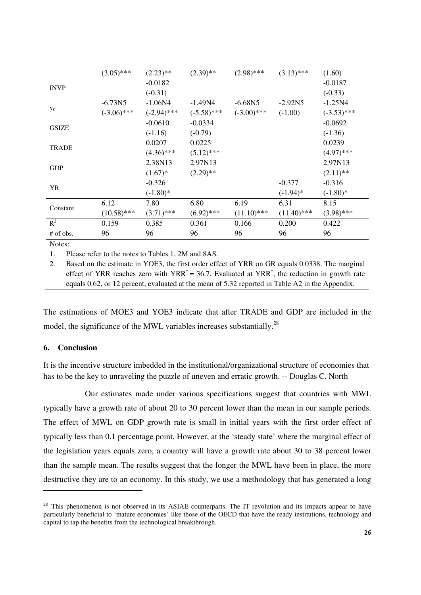|              | $(3.05)$ ***  | $(2.23)$ **   | $(2.39)$ **   | $(2.98)$ ***  | $(3.13)$ ***  | (1.60)        |
|--------------|---------------|---------------|---------------|---------------|---------------|---------------|
| <b>INVP</b>  |               | $-0.0182$     |               |               |               | $-0.0187$     |
|              |               | $(-0.31)$     |               |               |               | $(-0.33)$     |
|              | $-6.73N5$     | $-1.06N4$     | $-1.49N4$     | $-6.68N5$     | $-2.92N5$     | $-1.25N4$     |
| $y_0$        | $(-3.06)$ *** | $(-2.94)$ *** | $(-5.58)$ *** | $(-3.00)$ *** | $(-1.00)$     | $(-3.53)$ *** |
|              |               | $-0.0610$     | $-0.0334$     |               |               | $-0.0692$     |
| <b>GSIZE</b> |               | $(-1.16)$     | $(-0.79)$     |               |               | $(-1.36)$     |
| <b>TRADE</b> |               | 0.0207        | 0.0225        |               |               | 0.0239        |
|              |               | $(4.36)$ ***  | $(5.12)$ ***  |               |               | $(4.97)$ ***  |
| <b>GDP</b>   |               | 2.38N13       | 2.97N13       |               |               | 2.97N13       |
|              |               | $(1.67)^*$    | $(2.29)$ **   |               |               | $(2.11)$ **   |
| YR           |               | $-0.326$      |               |               | $-0.377$      | $-0.316$      |
|              |               | $(-1.80)$ *   |               |               | $(-1.94)$ *   | $(-1.80)$ *   |
| Constant     | 6.12          | 7.80          | 6.80          | 6.19          | 6.31          | 8.15          |
|              | $(10.58)$ *** | $(3.71)$ ***  | $(6.92)$ ***  | $(11.10)$ *** | $(11.40)$ *** | $(3.98)$ ***  |
| $R^2$        | 0.159         | 0.385         | 0.361         | 0.166         | 0.200         | 0.422         |
| # of obs.    | 96            | 96            | 96            | 96            | 96            | 96            |

1. Please refer to the notes to Tables 1, 2M and 8AS.

2. Based on the estimate in YOE3, the first order effect of YRR on GR equals 0.0338. The marginal effect of YRR reaches zero with  $YRR^* = 36.7$ . Evaluated at  $YRR^*$ , the reduction in growth rate equals 0.62, or 12 percent, evaluated at the mean of 5.32 reported in Table A2 in the Appendix.

The estimations of MOE3 and YOE3 indicate that after TRADE and GDP are included in the model, the significance of the MWL variables increases substantially.<sup>28</sup>

## **6. Conclusion**

It is the incentive structure imbedded in the institutional/organizational structure of economies that has to be the key to unraveling the puzzle of uneven and erratic growth. -- Douglas C. North

Our estimates made under various specifications suggest that countries with MWL typically have a growth rate of about 20 to 30 percent lower than the mean in our sample periods. The effect of MWL on GDP growth rate is small in initial years with the first order effect of typically less than 0.1 percentage point. However, at the 'steady state' where the marginal effect of the legislation years equals zero, a country will have a growth rate about 30 to 38 percent lower than the sample mean. The results suggest that the longer the MWL have been in place, the more destructive they are to an economy. In this study, we use a methodology that has generated a long

 $^{28}$  This phenomenon is not observed in its ASIAE counterparts. The IT revolution and its impacts appear to have particularly beneficial to 'mature economies' like those of the OECD that have the ready institutions, technology and capital to tap the benefits from the technological breakthrough.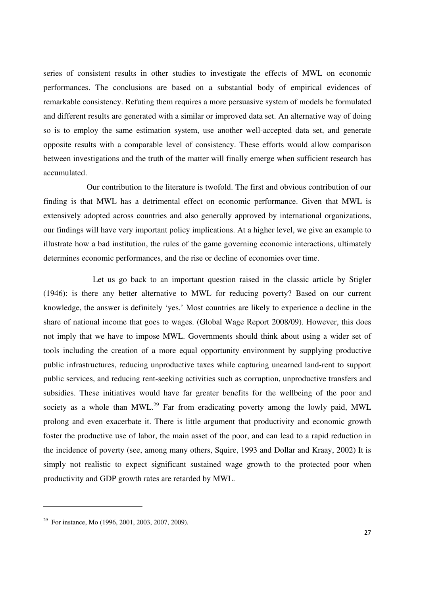series of consistent results in other studies to investigate the effects of MWL on economic performances. The conclusions are based on a substantial body of empirical evidences of remarkable consistency. Refuting them requires a more persuasive system of models be formulated and different results are generated with a similar or improved data set. An alternative way of doing so is to employ the same estimation system, use another well-accepted data set, and generate opposite results with a comparable level of consistency. These efforts would allow comparison between investigations and the truth of the matter will finally emerge when sufficient research has accumulated.

Our contribution to the literature is twofold. The first and obvious contribution of our finding is that MWL has a detrimental effect on economic performance. Given that MWL is extensively adopted across countries and also generally approved by international organizations, our findings will have very important policy implications. At a higher level, we give an example to illustrate how a bad institution, the rules of the game governing economic interactions, ultimately determines economic performances, and the rise or decline of economies over time.

Let us go back to an important question raised in the classic article by Stigler (1946): is there any better alternative to MWL for reducing poverty? Based on our current knowledge, the answer is definitely 'yes.' Most countries are likely to experience a decline in the share of national income that goes to wages. (Global Wage Report 2008/09). However, this does not imply that we have to impose MWL. Governments should think about using a wider set of tools including the creation of a more equal opportunity environment by supplying productive public infrastructures, reducing unproductive taxes while capturing unearned land-rent to support public services, and reducing rent-seeking activities such as corruption, unproductive transfers and subsidies. These initiatives would have far greater benefits for the wellbeing of the poor and society as a whole than MWL.<sup>29</sup> Far from eradicating poverty among the lowly paid, MWL prolong and even exacerbate it. There is little argument that productivity and economic growth foster the productive use of labor, the main asset of the poor, and can lead to a rapid reduction in the incidence of poverty (see, among many others, Squire, 1993 and Dollar and Kraay, 2002) It is simply not realistic to expect significant sustained wage growth to the protected poor when productivity and GDP growth rates are retarded by MWL.

<sup>&</sup>lt;sup>29</sup> For instance, Mo (1996, 2001, 2003, 2007, 2009).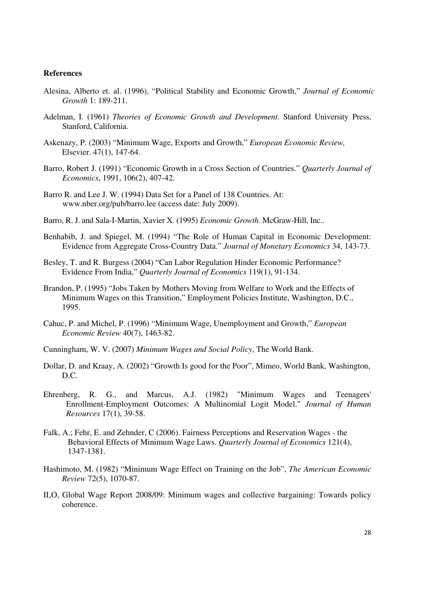#### **References**

- Alesina, Alberto et. al. (1996), "Political Stability and Economic Growth," *Journal of Economic Growth* 1: 189-211.
- Adelman, I. (1961) *Theories of Economic Growth and Development*. Stanford University Press, Stanford, California.
- Askenazy, P. (2003) "Minimum Wage, Exports and Growth," *European Economic Review,*  Elsevier. 47(1), 147-64.
- Barro, Robert J. (1991) "Economic Growth in a Cross Section of Countries." *Quarterly Journal of Economics*, 1991, 106(2), 407-42.
- Barro R. and Lee J. W. (1994) Data Set for a Panel of 138 Countries. At: www.nber.org/pub/barro.lee (access date: July 2009).
- Barro, R. J. and Sala-I-Martin, Xavier X. (1995) *Economic Growth*. McGraw-Hill, Inc..
- Benhabib, J. and Spiegel, M. (1994) "The Role of Human Capital in Economic Development: Evidence from Aggregate Cross-Country Data." *Journal of Monetary Economics* 34, 143-73.
- Besley, T. and R. Burgess (2004) "Can Labor Regulation Hinder Economic Performance? Evidence From India," *Quarterly Journal of Economics* 119(1), 91-134.
- Brandon, P. (1995) "Jobs Taken by Mothers Moving from Welfare to Work and the Effects of Minimum Wages on this Transition," Employment Policies Institute, Washington, D.C., 1995.
- Cahuc, P. and Michel, P. (1996) "Minimum Wage, Unemployment and Growth," *European Economic Review* 40(7), 1463-82.
- Cunningham, W. V. (2007) *Minimum Wages and Social Policy*, The World Bank.
- Dollar, D. and Kraay, A. (2002) "Growth Is good for the Poor", Mimeo, World Bank, Washington, D.C.
- Ehrenberg, R. G., and Marcus, A.J. (1982) "Minimum Wages and Teenagers' Enrollment-Employment Outcomes: A Multinomial Logit Model." *Journal of Human Resources* 17(1), 39-58.
- Falk, A.; Fehr, E. and Zehnder, C (2006). Fairness Perceptions and Reservation Wages the Behavioral Effects of Minimum Wage Laws. *Quarterly Journal of Economics* 121(4), 1347-1381.
- Hashimoto, M. (1982) "Minimum Wage Effect on Training on the Job", *The American Economic Review* 72(5), 1070-87.
- ILO, Global Wage Report 2008/09: Minimum wages and collective bargaining: Towards policy coherence.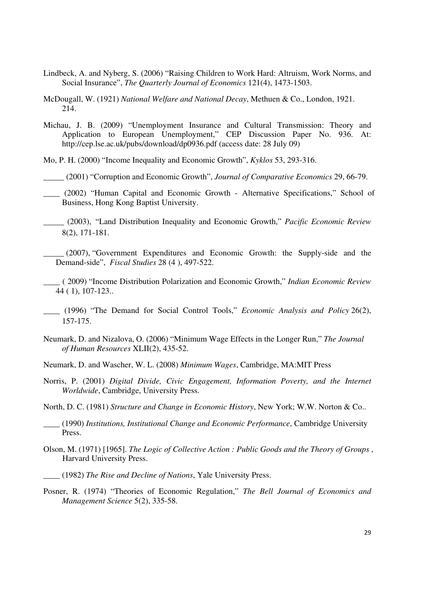- Lindbeck, A. and Nyberg, S. (2006) "Raising Children to Work Hard: Altruism, Work Norms, and Social Insurance", *The Quarterly Journal of Economics* 121(4), 1473-1503.
- McDougall, W. (1921) *National Welfare and National Decay*, Methuen & Co., London, 1921. 214.
- Michau, J. B. (2009) "Unemployment Insurance and Cultural Transmission: Theory and Application to European Unemployment," CEP Discussion Paper No. 936. At: http://cep.lse.ac.uk/pubs/download/dp0936.pdf (access date: 28 July 09)

Mo, P. H. (2000) "Income Inequality and Economic Growth", *Kyklos* 53, 293-316.

\_\_\_\_\_ (2001) "Corruption and Economic Growth", *Journal of Comparative Economics* 29, 66-79.

- \_\_\_\_ (2002) "Human Capital and Economic Growth Alternative Specifications," School of Business, Hong Kong Baptist University.
- \_\_\_\_\_ (2003), "Land Distribution Inequality and Economic Growth," *Pacific Economic Review* 8(2), 171-181.
- \_\_\_\_\_ (2007), "Government Expenditures and Economic Growth: the Supply-side and the Demand-side", *Fiscal Studies* 28 (4 ), 497-522.

\_\_\_\_ ( 2009) "Income Distribution Polarization and Economic Growth," *Indian Economic Review* 44 ( 1), 107-123..

- \_\_\_\_ (1996) "The Demand for Social Control Tools," *Economic Analysis and Policy* 26(2), 157-175.
- Neumark, D. and Nizalova, O. (2006) "Minimum Wage Effects in the Longer Run," *The Journal of Human Resources* XLII(2), 435-52.
- Neumark, D. and Wascher, W. L. (2008) *Minimum Wages*, Cambridge, MA:MIT Press
- Norris, P. (2001) *Digital Divide, Civic Engagement, Information Poverty, and the Internet Worldwide*, Cambridge, University Press.
- North, D. C. (1981) *Structure and Change in Economic History*, New York; W.W. Norton & Co..
- \_\_\_\_ (1990) *Institutions, Institutional Change and Economic Performance*, Cambridge University Press.
- Olson, M. (1971) [1965]. *The Logic of Collective Action : Public Goods and the Theory of Groups* , Harvard University Press.
- \_\_\_\_ (1982) *The Rise and Decline of Nations*, Yale University Press.
- Posner, R. (1974) "Theories of Economic Regulation," *The Bell Journal of Economics and Management Science* 5(2), 335-58.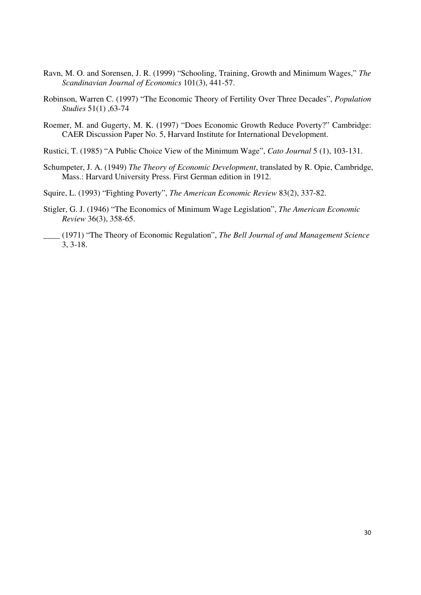- Ravn, M. O. and Sorensen, J. R. (1999) "Schooling, Training, Growth and Minimum Wages," *The Scandinavian Journal of Economics* 101(3), 441-57.
- Robinson, Warren C. (1997) "The Economic Theory of Fertility Over Three Decades", *Population Studies* 51(1) ,63-74
- Roemer, M. and Gugerty, M. K. (1997) "Does Economic Growth Reduce Poverty?" Cambridge: CAER Discussion Paper No. 5, Harvard Institute for International Development.
- Rustici, T. (1985) "A Public Choice View of the Minimum Wage", *Cato Journal* 5 (1), 103-131.
- Schumpeter, J. A. (1949) *The Theory of Economic Development*, translated by R. Opie, Cambridge, Mass.: Harvard University Press. First German edition in 1912.
- Squire, L. (1993) "Fighting Poverty", *The American Economic Review* 83(2), 337-82.
- Stigler, G. J. (1946) "The Economics of Minimum Wage Legislation", *The American Economic Review* 36(3), 358-65.
- \_\_\_\_ (1971) "The Theory of Economic Regulation", *The Bell Journal of and Management Science* 3, 3-18.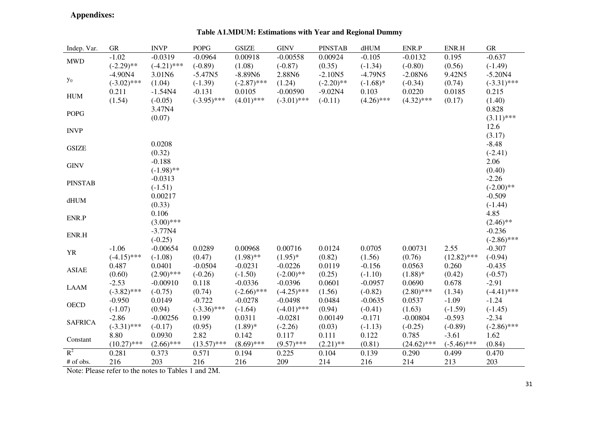# **Appendixes:**

| Indep. Var.               | <b>GR</b>     | <b>INVP</b>   | <b>POPG</b>   | <b>GSIZE</b>  | <b>GINV</b>   | <b>PINSTAB</b> | dHUM         | ENR.P         | ENR.H         | ${\rm GR}$    |
|---------------------------|---------------|---------------|---------------|---------------|---------------|----------------|--------------|---------------|---------------|---------------|
| $\ensuremath{\text{MWD}}$ | $-1.02$       | $-0.0319$     | $-0.0964$     | 0.00918       | $-0.00558$    | 0.00924        | $-0.105$     | $-0.0132$     | 0.195         | $-0.637$      |
|                           | $(-2.29)$ **  | $(-4.21)$ *** | $(-0.89)$     | (1.08)        | $(-0.87)$     | (0.35)         | $(-1.34)$    | $(-0.80)$     | (0.56)        | $(-1.49)$     |
|                           | $-4.90N4$     | 3.01N6        | $-5.47N5$     | $-8.89N6$     | 2.88N6        | $-2.10N5$      | $-4.79N5$    | $-2.08N6$     | 9.42N5        | $-5.20N4$     |
| $\mathbf{y}_0$            | $(-3.02)$ *** | (1.04)        | $(-1.39)$     | $(-2.87)$ *** | (1.24)        | $(-2.20)$ **   | $(-1.68)$ *  | $(-0.34)$     | (0.74)        | $(-3.31)$ *** |
| ${\rm HUM}$               | 0.211         | $-1.54N4$     | $-0.131$      | 0.0105        | $-0.00590$    | $-9.02N4$      | 0.103        | 0.0220        | 0.0185        | 0.215         |
|                           | (1.54)        | $(-0.05)$     | $(-3.95)$ *** | $(4.01)$ ***  | $(-3.01)$ *** | $(-0.11)$      | $(4.26)$ *** | $(4.32)$ ***  | (0.17)        | (1.40)        |
| <b>POPG</b>               |               | 3.47N4        |               |               |               |                |              |               |               | 0.828         |
|                           |               | (0.07)        |               |               |               |                |              |               |               | $(3.11)$ ***  |
| <b>INVP</b>               |               |               |               |               |               |                |              |               |               | 12.6          |
|                           |               |               |               |               |               |                |              |               |               | (3.17)        |
| <b>GSIZE</b>              |               | 0.0208        |               |               |               |                |              |               |               | $-8.48$       |
|                           |               | (0.32)        |               |               |               |                |              |               |               | $(-2.41)$     |
| <b>GINV</b>               |               | $-0.188$      |               |               |               |                |              |               |               | 2.06          |
|                           |               | $(-1.98)$ **  |               |               |               |                |              |               |               | (0.40)        |
| <b>PINSTAB</b>            |               | $-0.0313$     |               |               |               |                |              |               |               | $-2.26$       |
|                           |               | $(-1.51)$     |               |               |               |                |              |               |               | $(-2.00)$ **  |
| $dHUM$                    |               | 0.00217       |               |               |               |                |              |               |               | $-0.509$      |
|                           |               | (0.33)        |               |               |               |                |              |               |               | $(-1.44)$     |
| ENR.P                     |               | 0.106         |               |               |               |                |              |               |               | 4.85          |
|                           |               | $(3.00)$ ***  |               |               |               |                |              |               |               | $(2.46)$ **   |
| ENR.H                     |               | $-3.77N4$     |               |               |               |                |              |               |               | $-0.236$      |
|                           |               | $(-0.25)$     |               |               |               |                |              |               |               | $(-2.86)$ *** |
| <b>YR</b>                 | $-1.06$       | $-0.00654$    | 0.0289        | 0.00968       | 0.00716       | 0.0124         | 0.0705       | 0.00731       | 2.55          | $-0.307$      |
|                           | $(-4.15)$ *** | $(-1.08)$     | (0.47)        | $(1.98)$ **   | $(1.95)^*$    | (0.82)         | (1.56)       | (0.76)        | $(12.82)$ *** | $(-0.94)$     |
| <b>ASIAE</b>              | 0.487         | 0.0401        | $-0.0504$     | $-0.0231$     | $-0.0226$     | 0.0119         | $-0.156$     | 0.0563        | 0.260         | $-0.435$      |
|                           | (0.60)        | $(2.90)$ ***  | $(-0.26)$     | $(-1.50)$     | $(-2.00)$ **  | (0.25)         | $(-1.10)$    | $(1.88)$ *    | (0.42)        | $(-0.57)$     |
| <b>LAAM</b>               | $-2.53$       | $-0.00910$    | 0.118         | $-0.0336$     | $-0.0396$     | 0.0601         | $-0.0957$    | 0.0690        | 0.678         | $-2.91$       |
|                           | $(-3.82)$ *** | $(-0.75)$     | (0.74)        | $(-2.66)$ *** | $(-4.25)$ *** | (1.56)         | $(-0.82)$    | $(2.80)$ ***  | (1.34)        | $(-4.41)$ *** |
| <b>OECD</b>               | $-0.950$      | 0.0149        | $-0.722$      | $-0.0278$     | $-0.0498$     | 0.0484         | $-0.0635$    | 0.0537        | $-1.09$       | $-1.24$       |
|                           | $(-1.07)$     | (0.94)        | $(-3.36)$ *** | $(-1.64)$     | $(-4.01)$ *** | (0.94)         | $(-0.41)$    | (1.63)        | $(-1.59)$     | $(-1.45)$     |
| <b>SAFRICA</b>            | $-2.86$       | $-0.00256$    | 0.199         | 0.0311        | $-0.0281$     | 0.00149        | $-0.171$     | $-0.00804$    | $-0.593$      | $-2.34$       |
|                           | $(-3.31)$ *** | $(-0.17)$     | (0.95)        | $(1.89)*$     | $(-2.26)$     | (0.03)         | $(-1.13)$    | $(-0.25)$     | $(-0.89)$     | $(-2.86)$ *** |
| Constant                  | 8.80          | 0.0930        | 2.82          | 0.142         | 0.117         | 0.111          | 0.122        | 0.785         | $-3.61$       | 1.62          |
|                           | $(10.27)$ *** | $(2.66)$ ***  | $(13.57)$ *** | $(8.69)$ ***  | $(9.57)$ ***  | $(2.21)$ **    | (0.81)       | $(24.62)$ *** | $(-5.46)$ *** | (0.84)        |
| $R^2$                     | 0.281         | 0.373         | 0.571         | 0.194         | 0.225         | 0.104          | 0.139        | 0.290         | 0.499         | 0.470         |
| # of obs.                 | 216           | 203           | 216           | 216           | 209           | 214            | 216          | 214           | 213           | 203           |

# **Table A1.MDUM: Estimations with Year and Regional Dummy**

Note: Please refer to the notes to Tables 1 and 2M.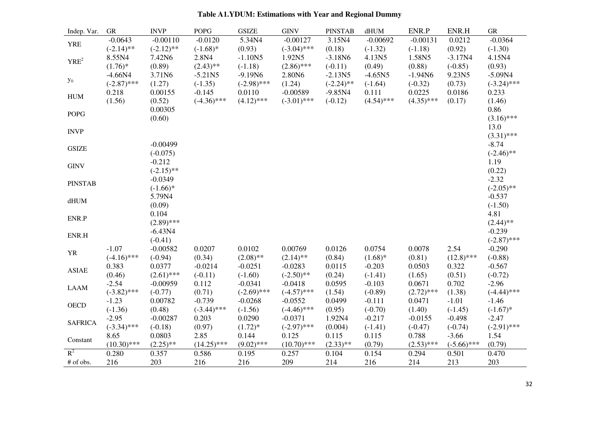| Indep. Var.      | ${\rm GR}$                 | <b>INVP</b>                | <b>POPG</b>               | <b>GSIZE</b>               | <b>GINV</b>                 | <b>PINSTAB</b>            | dHUM                    | ENR.P                   | ENR.H                    | ${\rm GR}$                 |
|------------------|----------------------------|----------------------------|---------------------------|----------------------------|-----------------------------|---------------------------|-------------------------|-------------------------|--------------------------|----------------------------|
| <b>YRE</b>       | $-0.0643$<br>$(-2.14)$ **  | $-0.00110$<br>$(-2.12)$ ** | $-0.0120$<br>$(-1.68)$ *  | 5.34N4<br>(0.93)           | $-0.00127$<br>$(-3.04)$ *** | 3.15N4<br>(0.18)          | $-0.00692$<br>$(-1.32)$ | $-0.00131$<br>$(-1.18)$ | 0.0212<br>(0.92)         | $-0.0364$<br>$(-1.30)$     |
| YRE <sup>2</sup> | 8.55N4<br>$(1.76)^*$       | 7.42N6<br>(0.89)           | 2.8N4<br>$(2.43)$ **      | $-1.10N5$<br>$(-1.18)$     | 1.92N5<br>$(2.86)$ ***      | $-3.18N6$<br>$(-0.11)$    | 4.13N5<br>(0.49)        | 1.58N5<br>(0.88)        | $-3.17N4$<br>$(-0.85)$   | 4.15N4<br>(0.93)           |
| $\mathbf{y}_0$   | $-4.66N4$<br>$(-2.87)$ *** | 3.71N6<br>(1.27)           | $-5.21N5$<br>$(-1.35)$    | $-9.19N6$<br>$(-2.98)$ *** | 2.80N6<br>(1.24)            | $-2.13N5$<br>$(-2.24)$ ** | $-4.65N5$<br>$(-1.64)$  | $-1.94N6$<br>$(-0.32)$  | 9.23N5<br>(0.73)         | $-5.09N4$<br>$(-3.24)$ *** |
| <b>HUM</b>       | 0.218<br>(1.56)            | 0.00155<br>(0.52)          | $-0.145$<br>$(-4.36)$ *** | 0.0110<br>$(4.12)$ ***     | $-0.00589$<br>$(-3.01)$ *** | $-9.85N4$<br>$(-0.12)$    | 0.111<br>$(4.54)$ ***   | 0.0225<br>$(4.35)$ ***  | 0.0186<br>(0.17)         | 0.233<br>(1.46)            |
| <b>POPG</b>      |                            | 0.00305<br>(0.60)          |                           |                            |                             |                           |                         |                         |                          | 0.86<br>$(3.16)$ ***       |
| <b>INVP</b>      |                            |                            |                           |                            |                             |                           |                         |                         |                          | 13.0<br>$(3.31)$ ***       |
| <b>GSIZE</b>     |                            | $-0.00499$<br>$(-0.075)$   |                           |                            |                             |                           |                         |                         |                          | $-8.74$<br>$(-2.46)$ **    |
| <b>GINV</b>      |                            | $-0.212$<br>$(-2.15)$ **   |                           |                            |                             |                           |                         |                         |                          | 1.19<br>(0.22)             |
| <b>PINSTAB</b>   |                            | $-0.0349$<br>$(-1.66)*$    |                           |                            |                             |                           |                         |                         |                          | $-2.32$<br>$(-2.05)$ **    |
| $dHUM$           |                            | 5.79N4<br>(0.09)           |                           |                            |                             |                           |                         |                         |                          | $-0.537$<br>$(-1.50)$      |
| ENR.P            |                            | 0.104<br>$(2.89)$ ***      |                           |                            |                             |                           |                         |                         |                          | 4.81<br>$(2.44)$ **        |
| ENR.H            |                            | $-6.43N4$<br>$(-0.41)$     |                           |                            |                             |                           |                         |                         |                          | $-0.239$<br>$(-2.87)$ ***  |
| ${\it YR}$       | $-1.07$<br>$(-4.16)$ ***   | $-0.00582$<br>$(-0.94)$    | 0.0207<br>(0.34)          | 0.0102<br>$(2.08)$ **      | 0.00769<br>$(2.14)$ **      | 0.0126<br>(0.84)          | 0.0754<br>$(1.68)$ *    | 0.0078<br>(0.81)        | 2.54<br>$(12.8)$ ***     | $-0.290$<br>$(-0.88)$      |
| <b>ASIAE</b>     | 0.383<br>(0.46)            | 0.0377<br>$(2.61)$ ***     | $-0.0214$<br>$(-0.11)$    | $-0.0251$<br>$(-1.60)$     | $-0.0283$<br>$(-2.50)$ **   | 0.0115<br>(0.24)          | $-0.203$<br>$(-1.41)$   | 0.0503<br>(1.65)        | 0.322<br>(0.51)          | $-0.567$<br>$(-0.72)$      |
| <b>LAAM</b>      | $-2.54$<br>$(-3.82)$ ***   | $-0.00959$<br>$(-0.77)$    | 0.112<br>(0.71)           | $-0.0341$<br>$(-2.69)$ *** | $-0.0418$<br>$(-4.57)$ ***  | 0.0595<br>(1.54)          | $-0.103$<br>$(-0.89)$   | 0.0671<br>$(2.72)$ ***  | 0.702<br>(1.38)          | $-2.96$<br>$(-4.44)$ ***   |
| <b>OECD</b>      | $-1.23$<br>$(-1.36)$       | 0.00782<br>(0.48)          | $-0.739$<br>$(-3.44)$ *** | $-0.0268$<br>$(-1.56)$     | $-0.0552$<br>$(-4.46)$ ***  | 0.0499<br>(0.95)          | $-0.111$<br>$(-0.70)$   | 0.0471<br>(1.40)        | $-1.01$<br>$(-1.45)$     | $-1.46$<br>$(-1.67)$ *     |
| <b>SAFRICA</b>   | $-2.95$<br>$(-3.34)$ ***   | $-0.00287$<br>$(-0.18)$    | 0.203<br>(0.97)           | 0.0290<br>$(1.72)^*$       | $-0.0371$<br>$(-2.97)$ ***  | 1.92N4<br>(0.004)         | $-0.217$<br>$(-1.41)$   | $-0.0155$<br>$(-0.47)$  | $-0.498$<br>$(-0.74)$    | $-2.47$<br>$(-2.91)$ ***   |
| Constant         | 8.65<br>$(10.30)$ ***      | 0.0803<br>$(2.25)$ **      | 2.85<br>$(14.25)$ ***     | 0.144<br>$(9.02)$ ***      | 0.125<br>$(10.70)$ ***      | 0.115<br>$(2.33)$ **      | 0.115<br>(0.79)         | 0.788<br>$(2.53)$ ***   | $-3.66$<br>$(-5.66)$ *** | 1.54<br>(0.79)             |
| $R^2$            | 0.280                      | 0.357                      | 0.586                     | 0.195                      | 0.257                       | 0.104                     | 0.154                   | 0.294                   | 0.501                    | 0.470                      |
| # of obs.        | 216                        | 203                        | 216                       | 216                        | 209                         | 214                       | 216                     | 214                     | 213                      | 203                        |

# **Table A1.YDUM: Estimations with Year and Regional Dummy**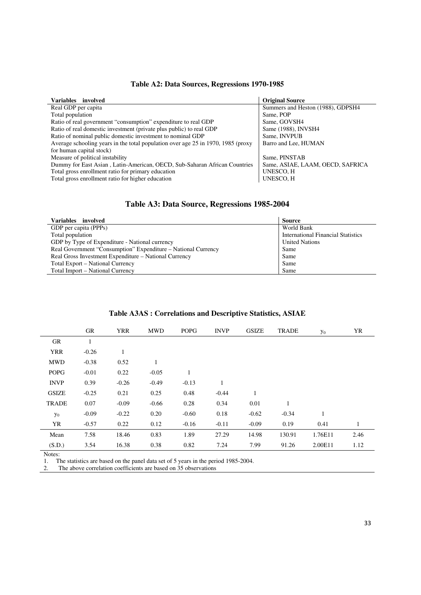| <b>Variables</b><br>involved                                                     | <b>Original Source</b>            |
|----------------------------------------------------------------------------------|-----------------------------------|
| Real GDP per capita                                                              | Summers and Heston (1988), GDPSH4 |
| Total population                                                                 | Same, POP                         |
| Ratio of real government "consumption" expenditure to real GDP                   | Same, GOVSH4                      |
| Ratio of real domestic investment (private plus public) to real GDP              | Same (1988), INVSH4               |
| Ratio of nominal public domestic investment to nominal GDP                       | Same, INVPUB                      |
| Average schooling years in the total population over age 25 in 1970, 1985 (proxy | Barro and Lee, HUMAN              |
| for human capital stock)                                                         |                                   |
| Measure of political instability                                                 | Same, PINSTAB                     |
| Dummy for East Asian, Latin-American, OECD, Sub-Saharan African Countries        | Same, ASIAE, LAAM, OECD, SAFRICA  |
| Total gross enrollment ratio for primary education                               | <b>UNESCO, H</b>                  |
| Total gross enrollment ratio for higher education                                | <b>UNESCO, H</b>                  |

# **Table A3: Data Source, Regressions 1985-2004**

| Variables involved                                            | <b>Source</b>                             |
|---------------------------------------------------------------|-------------------------------------------|
| GDP per capita (PPPs)                                         | World Bank                                |
| Total population                                              | <b>International Financial Statistics</b> |
| GDP by Type of Expenditure - National currency                | <b>United Nations</b>                     |
| Real Government "Consumption" Expenditure – National Currency | Same                                      |
| Real Gross Investment Expenditure – National Currency         | Same                                      |
| Total Export – National Currency                              | Same                                      |
| Total Import – National Currency                              | Same                                      |

| Table A3AS: Correlations and Descriptive Statistics, ASIAE |
|------------------------------------------------------------|
|------------------------------------------------------------|

|              | GR      | <b>YRR</b> | <b>MWD</b> | <b>POPG</b> | <b>INVP</b> | <b>GSIZE</b> | <b>TRADE</b> | $y_0$   | YR   |
|--------------|---------|------------|------------|-------------|-------------|--------------|--------------|---------|------|
| GR           | 1       |            |            |             |             |              |              |         |      |
| <b>YRR</b>   | $-0.26$ | 1          |            |             |             |              |              |         |      |
| <b>MWD</b>   | $-0.38$ | 0.52       | 1          |             |             |              |              |         |      |
| <b>POPG</b>  | $-0.01$ | 0.22       | $-0.05$    | 1           |             |              |              |         |      |
| <b>INVP</b>  | 0.39    | $-0.26$    | $-0.49$    | $-0.13$     |             |              |              |         |      |
| <b>GSIZE</b> | $-0.25$ | 0.21       | 0.25       | 0.48        | $-0.44$     | $\mathbf{1}$ |              |         |      |
| <b>TRADE</b> | 0.07    | $-0.09$    | $-0.66$    | 0.28        | 0.34        | 0.01         | 1            |         |      |
| $y_0$        | $-0.09$ | $-0.22$    | 0.20       | $-0.60$     | 0.18        | $-0.62$      | $-0.34$      | 1       |      |
| YR           | $-0.57$ | 0.22       | 0.12       | $-0.16$     | $-0.11$     | $-0.09$      | 0.19         | 0.41    |      |
| Mean         | 7.58    | 18.46      | 0.83       | 1.89        | 27.29       | 14.98        | 130.91       | 1.76E11 | 2.46 |
| (S.D.)       | 3.54    | 16.38      | 0.38       | 0.82        | 7.24        | 7.99         | 91.26        | 2.00E11 | 1.12 |

Notes:

1. The statistics are based on the panel data set of 5 years in the period 1985-2004.

2. The above correlation coefficients are based on 35 observations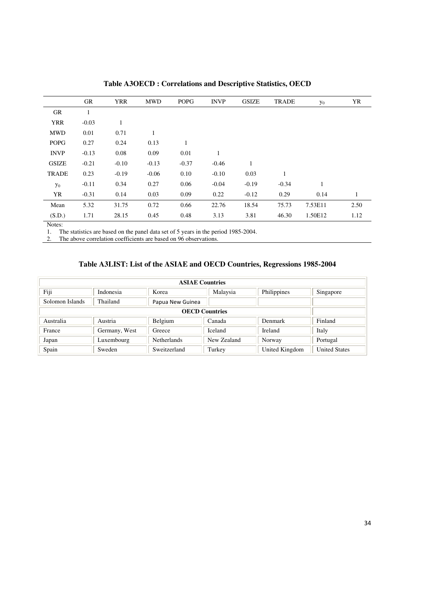|              | GR           | <b>YRR</b> | <b>MWD</b> | <b>POPG</b>  | <b>INVP</b> | <b>GSIZE</b> | <b>TRADE</b> | $y_0$   | YR   |
|--------------|--------------|------------|------------|--------------|-------------|--------------|--------------|---------|------|
| <b>GR</b>    | $\mathbf{1}$ |            |            |              |             |              |              |         |      |
| <b>YRR</b>   | $-0.03$      | 1          |            |              |             |              |              |         |      |
| <b>MWD</b>   | 0.01         | 0.71       | л.         |              |             |              |              |         |      |
| <b>POPG</b>  | 0.27         | 0.24       | 0.13       | $\mathbf{1}$ |             |              |              |         |      |
| <b>INVP</b>  | $-0.13$      | 0.08       | 0.09       | 0.01         |             |              |              |         |      |
| <b>GSIZE</b> | $-0.21$      | $-0.10$    | $-0.13$    | $-0.37$      | $-0.46$     | 1            |              |         |      |
| <b>TRADE</b> | 0.23         | $-0.19$    | $-0.06$    | 0.10         | $-0.10$     | 0.03         |              |         |      |
| $y_0$        | $-0.11$      | 0.34       | 0.27       | 0.06         | $-0.04$     | $-0.19$      | $-0.34$      | 1       |      |
| YR           | $-0.31$      | 0.14       | 0.03       | 0.09         | 0.22        | $-0.12$      | 0.29         | 0.14    | 1    |
| Mean         | 5.32         | 31.75      | 0.72       | 0.66         | 22.76       | 18.54        | 75.73        | 7.53E11 | 2.50 |
| (S.D.)       | 1.71         | 28.15      | 0.45       | 0.48         | 3.13        | 3.81         | 46.30        | 1.50E12 | 1.12 |
| $ -$         |              |            |            |              |             |              |              |         |      |

**Table A3OECD : Correlations and Descriptive Statistics, OECD** 

1. The statistics are based on the panel data set of 5 years in the period 1985-2004.

2. The above correlation coefficients are based on 96 observations.

# **Table A3LIST: List of the ASIAE and OECD Countries, Regressions 1985-2004**

| <b>ASIAE Countries</b> |               |                    |                |                |                      |  |  |  |  |
|------------------------|---------------|--------------------|----------------|----------------|----------------------|--|--|--|--|
| Fiji                   | Indonesia     | Korea              | Malaysia       | Philippines    | Singapore            |  |  |  |  |
| Solomon Islands        | Thailand      | Papua New Guinea   |                |                |                      |  |  |  |  |
|                        |               |                    |                |                |                      |  |  |  |  |
| Australia              | Austria       | Belgium            | Canada         | Denmark        | Finland              |  |  |  |  |
| France                 | Germany, West | Greece             | <b>Iceland</b> | Ireland        | Italy                |  |  |  |  |
| Japan                  | Luxembourg    | <b>Netherlands</b> | New Zealand    | Norway         | Portugal             |  |  |  |  |
| Spain                  | Sweden        | Sweitzerland       | Turkey         | United Kingdom | <b>United States</b> |  |  |  |  |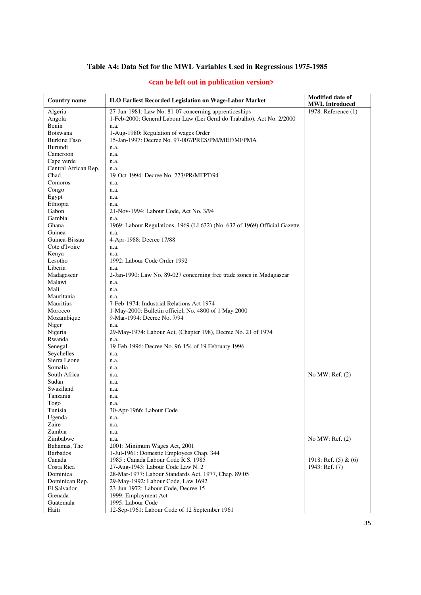# **Table A4: Data Set for the MWL Variables Used in Regressions 1975-1985**

| <b>Country name</b>  | <b>ILO Earliest Recorded Legislation on Wage-Labor Market</b>              | <b>Modified date of</b><br><b>MWL</b> Introduced |
|----------------------|----------------------------------------------------------------------------|--------------------------------------------------|
| Algeria              | 27-Jun-1981: Law No. 81-07 concerning apprenticeships                      | 1978: Reference (1)                              |
| Angola               | 1-Feb-2000: General Labour Law (Lei Geral do Trabalho), Act No. 2/2000     |                                                  |
| Benin                | n.a.                                                                       |                                                  |
| <b>Botswana</b>      | 1-Aug-1980: Regulation of wages Order                                      |                                                  |
| <b>Burkina Faso</b>  | 15-Jan-1997: Decree No. 97-007/PRES/PM/MEF/MFPMA                           |                                                  |
| Burundi              | n.a.                                                                       |                                                  |
| Cameroon             | n.a.                                                                       |                                                  |
| Cape verde           | n.a.                                                                       |                                                  |
| Central African Rep. | n.a.                                                                       |                                                  |
| Chad                 | 19-Oct-1994: Decree No. 273/PR/MFPT/94                                     |                                                  |
| Comoros              | n.a.                                                                       |                                                  |
| Congo                | n.a.                                                                       |                                                  |
| Egypt                | n.a.                                                                       |                                                  |
| Ethiopia             | n.a.                                                                       |                                                  |
| Gabon                | 21-Nov-1994: Labour Code, Act No. 3/94                                     |                                                  |
| Gambia               | n.a.                                                                       |                                                  |
| Ghana                | 1969: Labour Regulations, 1969 (LI 632) (No. 632 of 1969) Official Gazette |                                                  |
| Guinea               |                                                                            |                                                  |
| Guinea-Bissau        | n.a.                                                                       |                                                  |
| Cote d'Ivoire        | 4-Apr-1988: Decree 17/88                                                   |                                                  |
|                      | n.a.                                                                       |                                                  |
| Kenya                | n.a.                                                                       |                                                  |
| Lesotho              | 1992: Labour Code Order 1992                                               |                                                  |
| Liberia              | n.a.                                                                       |                                                  |
| Madagascar           | 2-Jan-1990: Law No. 89-027 concerning free trade zones in Madagascar       |                                                  |
| Malawi               | n.a.                                                                       |                                                  |
| Mali                 | n.a.                                                                       |                                                  |
| Mauritania           | n.a.                                                                       |                                                  |
| Mauritius            | 7-Feb-1974: Industrial Relations Act 1974                                  |                                                  |
| Morocco              | 1-May-2000: Bulletin officiel, No. 4800 of 1 May 2000                      |                                                  |
| Mozambique           | 9-Mar-1994: Decree No. 7/94                                                |                                                  |
| Niger                | n.a.                                                                       |                                                  |
| Nigeria              | 29-May-1974: Labour Act, (Chapter 198), Decree No. 21 of 1974              |                                                  |
| Rwanda               | n.a.                                                                       |                                                  |
| Senegal              | 19-Feb-1996: Decree No. 96-154 of 19 February 1996                         |                                                  |
| Seychelles           | n.a.                                                                       |                                                  |
| Sierra Leone         | n.a.                                                                       |                                                  |
| Somalia              | n.a.                                                                       |                                                  |
| South Africa         | n.a.                                                                       | No MW: Ref. (2)                                  |
| Sudan                | n.a.                                                                       |                                                  |
| Swaziland            | n.a.                                                                       |                                                  |
| Tanzania             | n.a.                                                                       |                                                  |
| Togo                 | n.a.                                                                       |                                                  |
| Tunisia              | 30-Apr-1966: Labour Code                                                   |                                                  |
| Ugenda               | n.a.                                                                       |                                                  |
| Zaire                | n.a.                                                                       |                                                  |
| Zambia               | n.a.                                                                       |                                                  |
| Zimbabwe             | n.a.                                                                       | No MW: Ref. $(2)$                                |
| Bahamas, The         | 2001: Minimum Wages Act, 2001                                              |                                                  |
| <b>Barbados</b>      | 1-Jul-1961: Domestic Employees Chap. 344                                   |                                                  |
| Canada               | 1985 : Canada Labour Code R.S. 1985                                        | 1918: Ref. $(5)$ & $(6)$                         |
| Costa Rica           | 27-Aug-1943: Labour Code Law N. 2                                          | 1943: Ref. $(7)$                                 |
| Dominica             | 28-Mar-1977: Labour Standards Act, 1977, Chap. 89:05                       |                                                  |
| Dominican Rep.       | 29-May-1992: Labour Code, Law 1692                                         |                                                  |
| El Salvador          | 23-Jun-1972: Labour Code, Decree 15                                        |                                                  |
| Grenada              | 1999: Employment Act                                                       |                                                  |
| Guatemala            | 1995: Labour Code                                                          |                                                  |
| Haiti                | 12-Sep-1961: Labour Code of 12 September 1961                              |                                                  |

#### **<can be left out in publication version>**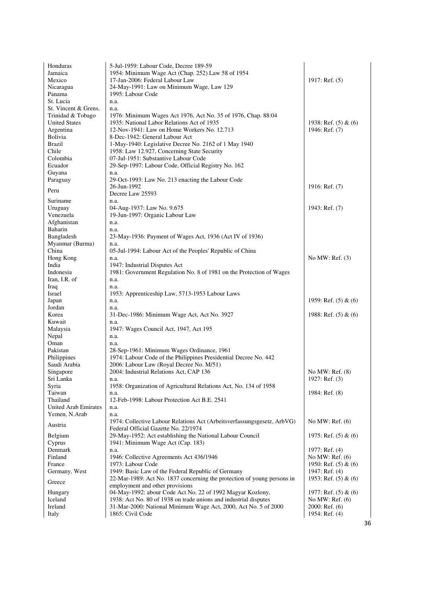| Honduras                      | 5-Jul-1959: Labour Code, Decree 189-59                                                  |                                   |
|-------------------------------|-----------------------------------------------------------------------------------------|-----------------------------------|
| Jamaica                       | 1954: Minimum Wage Act (Chap. 252) Law 58 of 1954                                       |                                   |
| Mexico                        | 17-Jan-2006: Federal Labour Law                                                         | 1917: Ref. $(5)$                  |
| Nicaragua                     | 24-May-1991: Law on Minimum Wage, Law 129                                               |                                   |
| Panama                        | 1995: Labour Code                                                                       |                                   |
| St. Lucia                     | n.a.                                                                                    |                                   |
| St. Vincent & Grens.          | n.a.                                                                                    |                                   |
| Trinidad & Tobago             | 1976: Minimum Wages Act 1976, Act No. 35 of 1976, Chap. 88:04                           |                                   |
| <b>United States</b>          | 1935: National Labor Relations Act of 1935                                              | 1938: Ref. $(5)$ & $(6)$          |
| Argentina                     | 12-Nov-1941: Law on Home Workers No. 12.713                                             | 1946: Ref. (7)                    |
| Bolivia<br>Brazil             | 8-Dec-1942: General Labour Act<br>1-May-1940: Legislative Decree No. 2162 of 1 May 1940 |                                   |
| Chile                         | 1958: Law 12.927, Concerning State Security                                             |                                   |
| Colombia                      | 07-Jul-1951: Substantive Labour Code                                                    |                                   |
| Ecuador                       | 29-Sep-1997: Labour Code, Official Registry No. 162                                     |                                   |
| Guyana                        | n.a.                                                                                    |                                   |
| Paraguay                      | 29-Oct-1993: Law No. 213 enacting the Labour Code                                       |                                   |
|                               | 26-Jun-1992                                                                             | 1916: Ref. (7)                    |
| Peru                          | Decree Law 25593                                                                        |                                   |
| Suriname                      | n.a.                                                                                    |                                   |
| Uruguay                       | 04-Aug-1937: Law No. 9.675                                                              | 1943: Ref. (7)                    |
| Venezuela                     | 19-Jun-1997: Organic Labour Law                                                         |                                   |
| Afghanistan                   | n.a.                                                                                    |                                   |
| <b>Baharin</b>                | n.a.                                                                                    |                                   |
| Bangladesh<br>Myanmar (Burma) | 23-May-1936: Payment of Wages Act, 1936 (Act IV of 1936)<br>n.a.                        |                                   |
| China                         | 05-Jul-1994: Labour Act of the Peoples' Republic of China                               |                                   |
| Hong Kong                     | n.a.                                                                                    | No MW: Ref. $(3)$                 |
| India                         | 1947: Industrial Disputes Act                                                           |                                   |
| Indonesia                     | 1981: Government Regulation No. 8 of 1981 on the Protection of Wages                    |                                   |
| Iran, I.R. of                 | n.a.                                                                                    |                                   |
| Iraq                          | n.a.                                                                                    |                                   |
| Israel                        | 1953: Apprenticeship Law, 5713-1953 Labour Laws                                         |                                   |
| Japan                         | n.a.                                                                                    | 1959: Ref. $(5)$ & $(6)$          |
| Jordan<br>Korea               | n.a.<br>31-Dec-1986: Minimum Wage Act, Act No. 3927                                     | 1988: Ref. $(5)$ & $(6)$          |
| Kuwait                        | n.a.                                                                                    |                                   |
| Malaysia                      | 1947: Wages Council Act, 1947, Act 195                                                  |                                   |
| Nepal                         | n.a.                                                                                    |                                   |
| Oman                          | n.a.                                                                                    |                                   |
| Pakistan                      | 28-Sep-1961: Minimum Wages Ordinance, 1961                                              |                                   |
| Philippines                   | 1974: Labour Code of the Philippines Presidential Decree No. 442                        |                                   |
| Saudi Arabia                  | 2006: Labour Law (Royal Decree No. M/51)                                                |                                   |
| Singapore                     | 2004: Industrial Relations Act, CAP 136                                                 | No MW: Ref. $(8)$                 |
| Sri Lanka<br>Syria            | n.a.<br>1958: Organization of Agricultural Relations Act, No. 134 of 1958               | 1927: Ref. (3)                    |
| Taiwan                        | n.a.                                                                                    | 1984: Ref. (8)                    |
| Thailand                      | 12-Feb-1998: Labour Protection Act B.E. 2541                                            |                                   |
| <b>United Arab Emirates</b>   | n.a.                                                                                    |                                   |
| Yemen, N.Arab                 | n.a.                                                                                    |                                   |
| Austria                       | 1974: Collective Labour Relations Act (Arbeitsverfassungsgesetz, ArbVG)                 | No MW: Ref. $(6)$                 |
|                               | Federal Official Gazette No. 22/1974                                                    |                                   |
| Belgium                       | 29-May-1952: Act establishing the National Labour Council                               | 1975: Ref. $(5)$ & $(6)$          |
| Cyprus                        | 1941: Minimum Wage Act (Cap. 183)                                                       |                                   |
| Denmark<br>Finland            | n.a.                                                                                    | 1977: Ref. (4)<br>No MW: Ref. (6) |
| France                        | 1946: Collective Agreements Act 436/1946<br>1973: Labour Code                           | 1950: Ref. (5) & (6)              |
| Germany, West                 | 1949: Basic Law of the Federal Republic of Germany                                      | 1947: Ref. (4)                    |
|                               | 22-Mar-1989: Act No. 1837 concerning the protection of young persons in                 | 1953: Ref. $(5)$ & $(6)$          |
| Greece                        | employment and other provisions                                                         |                                   |
| Hungary                       | 04-May-1992: abour Code Act No. 22 of 1992 Magyar Kozlony,                              | 1977: Ref. $(5)$ & $(6)$          |
| Iceland                       | 1938: Act No. 80 of 1938 on trade unions and industrial disputes                        | No MW: Ref. $(6)$                 |
| Ireland                       | 31-Mar-2000: National Minimum Wage Act, 2000, Act No. 5 of 2000                         | $2000$ : Ref. $(6)$               |
| Italy                         | 1865: Civil Code                                                                        | 1954: Ref. (4)                    |